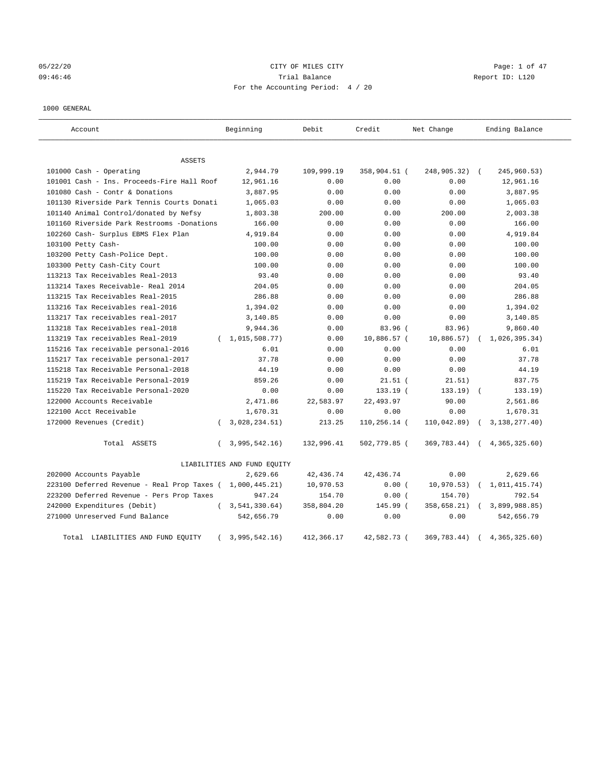05/22/20 **CITY OF MILES CITY** CONTROL CONTROL Page: 1 of 47 09:46:46 Trial Balance Report ID: L120 For the Accounting Period: 4 / 20

#### 1000 GENERAL

| Account                                     | Beginning                   | Debit      | Credit       | Net Change  | Ending Balance   |
|---------------------------------------------|-----------------------------|------------|--------------|-------------|------------------|
| ASSETS                                      |                             |            |              |             |                  |
| 101000 Cash - Operating                     | 2,944.79                    | 109,999.19 | 358,904.51 ( | 248,905.32) | 245,960.53)      |
| 101001 Cash - Ins. Proceeds-Fire Hall Roof  | 12,961.16                   | 0.00       | 0.00         | 0.00        | 12,961.16        |
| 101080 Cash - Contr & Donations             | 3,887.95                    | 0.00       | 0.00         | 0.00        | 3,887.95         |
| 101130 Riverside Park Tennis Courts Donati  | 1,065.03                    | 0.00       | 0.00         | 0.00        | 1,065.03         |
| 101140 Animal Control/donated by Nefsy      | 1,803.38                    | 200.00     | 0.00         | 200.00      | 2,003.38         |
| 101160 Riverside Park Restrooms -Donations  | 166.00                      | 0.00       | 0.00         | 0.00        | 166.00           |
| 102260 Cash- Surplus EBMS Flex Plan         | 4,919.84                    | 0.00       | 0.00         | 0.00        | 4,919.84         |
| 103100 Petty Cash-                          | 100.00                      | 0.00       | 0.00         | 0.00        | 100.00           |
| 103200 Petty Cash-Police Dept.              | 100.00                      | 0.00       | 0.00         | 0.00        | 100.00           |
| 103300 Petty Cash-City Court                | 100.00                      | 0.00       | 0.00         | 0.00        | 100.00           |
| 113213 Tax Receivables Real-2013            | 93.40                       | 0.00       | 0.00         | 0.00        | 93.40            |
| 113214 Taxes Receivable- Real 2014          | 204.05                      | 0.00       | 0.00         | 0.00        | 204.05           |
| 113215 Tax Receivables Real-2015            | 286.88                      | 0.00       | 0.00         | 0.00        | 286.88           |
| 113216 Tax Receivables real-2016            | 1,394.02                    | 0.00       | 0.00         | 0.00        | 1,394.02         |
| 113217 Tax receivables real-2017            | 3,140.85                    | 0.00       | 0.00         | 0.00        | 3,140.85         |
| 113218 Tax Receivables real-2018            | 9,944.36                    | 0.00       | 83.96 (      | 83.96)      | 9,860.40         |
| 113219 Tax receivables Real-2019            | (1, 015, 508.77)            | 0.00       | 10,886.57 (  | 10,886.57)  | 1,026,395.34)    |
| 115216 Tax receivable personal-2016         | 6.01                        | 0.00       | 0.00         | 0.00        | 6.01             |
| 115217 Tax receivable personal-2017         | 37.78                       | 0.00       | 0.00         | 0.00        | 37.78            |
| 115218 Tax Receivable Personal-2018         | 44.19                       | 0.00       | 0.00         | 0.00        | 44.19            |
| 115219 Tax Receivable Personal-2019         | 859.26                      | 0.00       | $21.51$ (    | 21.51)      | 837.75           |
| 115220 Tax Receivable Personal-2020         | 0.00                        | 0.00       | 133.19 (     | 133.19      | 133.19)          |
| 122000 Accounts Receivable                  | 2,471.86                    | 22,583.97  | 22,493.97    | 90.00       | 2,561.86         |
| 122100 Acct Receivable                      | 1,670.31                    | 0.00       | 0.00         | 0.00        | 1,670.31         |
| 172000 Revenues (Credit)                    | 3,028,234.51)               | 213.25     | 110,256.14 ( | 110,042.89) | 3, 138, 277. 40) |
| Total ASSETS                                | 3,995,542.16)<br>$\left($   | 132,996.41 | 502,779.85 ( | 369,783.44) | (4, 365, 325.60) |
|                                             | LIABILITIES AND FUND EQUITY |            |              |             |                  |
| 202000 Accounts Payable                     | 2,629.66                    | 42, 436.74 | 42, 436.74   | 0.00        | 2,629.66         |
| 223100 Deferred Revenue - Real Prop Taxes ( | 1,000,445.21)               | 10,970.53  | 0.00(        | 10,970.53)  | 1,011,415.74)    |
| 223200 Deferred Revenue - Pers Prop Taxes   | 947.24                      | 154.70     | 0.00(        | 154.70)     | 792.54           |
| 242000 Expenditures (Debit)                 | 3, 541, 330.64)<br>$\left($ | 358,804.20 | 145.99 (     | 358,658.21) | 3,899,988.85)    |
| 271000 Unreserved Fund Balance              | 542,656.79                  | 0.00       | 0.00         | 0.00        | 542,656.79       |
| LIABILITIES AND FUND EQUITY<br>Total        | 3,995,542.16)               | 412,366.17 | 42,582.73 (  | 369,783.44) | 4, 365, 325.60   |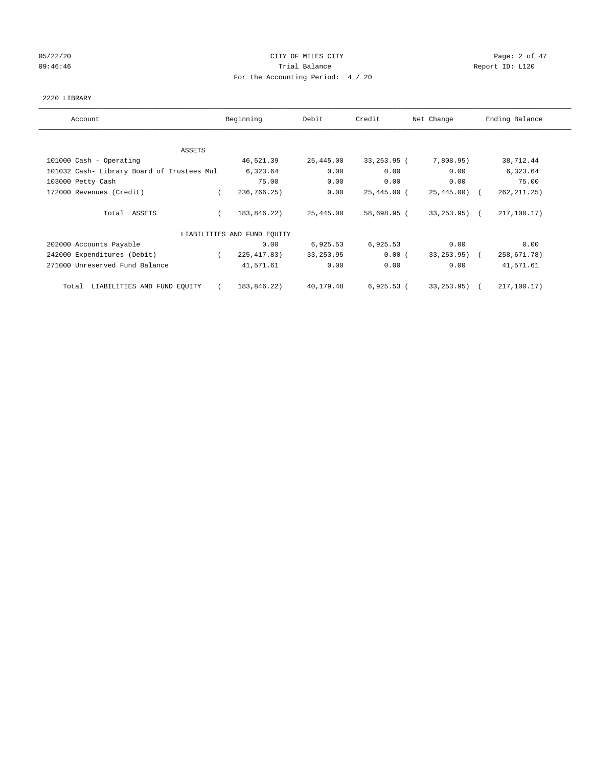# 05/22/20 **CITY OF MILES CITY** CONTROL CONTROL Page: 2 of 47 09:46:46 Report ID: L120 For the Accounting Period: 4 / 20

#### 2220 LIBRARY

| Account                                    | Beginning                   | Debit      | Credit          | Net Change     | Ending Balance |
|--------------------------------------------|-----------------------------|------------|-----------------|----------------|----------------|
| ASSETS                                     |                             |            |                 |                |                |
| 101000 Cash - Operating                    | 46,521.39                   | 25,445.00  | $33, 253, 95$ ( | 7,808.95)      | 38,712.44      |
| 101032 Cash- Library Board of Trustees Mul | 6,323.64                    | 0.00       | 0.00            | 0.00           | 6,323.64       |
| 103000 Petty Cash                          | 75.00                       | 0.00       | 0.00            | 0.00           | 75.00          |
| 172000 Revenues (Credit)                   | 236,766.25)                 | 0.00       | $25,445.00$ (   | 25,445.00) (   | 262, 211.25)   |
| Total ASSETS                               | 183,846.22)                 | 25,445.00  | 58,698.95 (     | $33, 253.95$ ( | 217,100.17)    |
|                                            | LIABILITIES AND FUND EQUITY |            |                 |                |                |
| 202000 Accounts Payable                    | 0.00                        | 6,925.53   | 6,925.53        | 0.00           | 0.00           |
| 242000 Expenditures (Debit)                | 225, 417.83)<br>$\sqrt{2}$  | 33, 253.95 | 0.00(           | 33,253.95) (   | 258,671.78)    |
| 271000 Unreserved Fund Balance             | 41,571.61                   | 0.00       | 0.00            | 0.00           | 41,571.61      |
| Total LIABILITIES AND FUND EQUITY          | 183,846.22)<br>$\epsilon$   | 40,179.48  | $6,925.53$ (    | 33,253.95) (   | 217,100.17)    |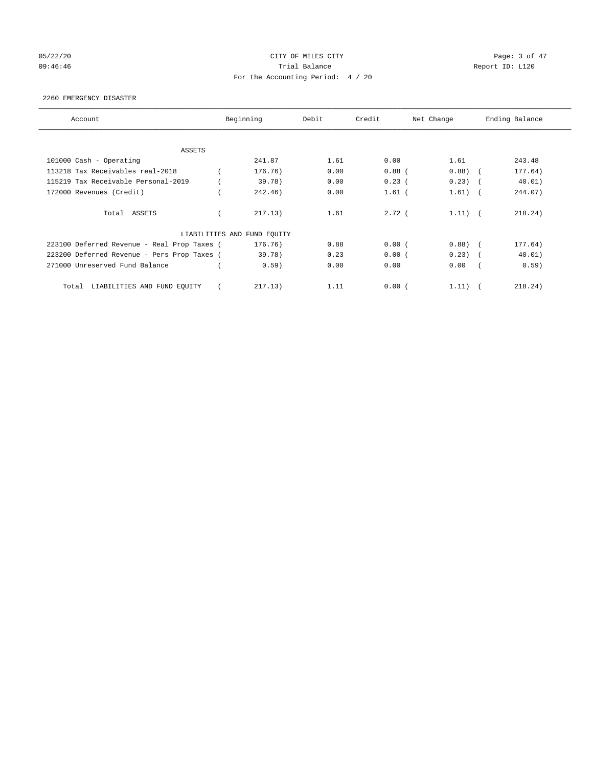# 05/22/20 **CITY OF MILES CITY CONSTRUES CONSTRUES CONSTRUES CONSTRUES AND RESPONSI** 09:46:46 Report ID: L120 For the Accounting Period: 4 / 20

#### 2260 EMERGENCY DISASTER

| Account                                     | Beginning                   | Debit | Credit   | Net Change |            | Ending Balance |
|---------------------------------------------|-----------------------------|-------|----------|------------|------------|----------------|
| <b>ASSETS</b>                               |                             |       |          |            |            |                |
| 101000 Cash - Operating                     | 241.87                      | 1.61  | 0.00     | 1.61       |            | 243.48         |
| 113218 Tax Receivables real-2018            | 176.76)                     | 0.00  | $0.88$ ( | 0.88)      | $\sqrt{2}$ | 177.64)        |
| 115219 Tax Receivable Personal-2019         | 39.78)                      | 0.00  | 0.23(    | 0.23)      |            | 40.01)         |
| 172000 Revenues (Credit)                    | 242.46)                     | 0.00  | $1.61$ ( | 1.61)      | $\sqrt{2}$ | 244.07)        |
| Total ASSETS                                | 217.13)                     | 1.61  | $2.72$ ( | $1.11)$ (  |            | 218.24)        |
|                                             | LIABILITIES AND FUND EQUITY |       |          |            |            |                |
| 223100 Deferred Revenue - Real Prop Taxes ( | 176.76)                     | 0.88  | 0.00(    | $0.88$ (   |            | 177.64)        |
| 223200 Deferred Revenue - Pers Prop Taxes ( | 39.78)                      | 0.23  | 0.00(    | $0.23)$ (  |            | 40.01)         |
| 271000 Unreserved Fund Balance              | 0.59)                       | 0.00  | 0.00     | 0.00       |            | 0.59)          |
| LIABILITIES AND FUND EQUITY<br>Total        | 217.13)                     | 1.11  | 0.00(    | 1.11)      |            | 218.24)        |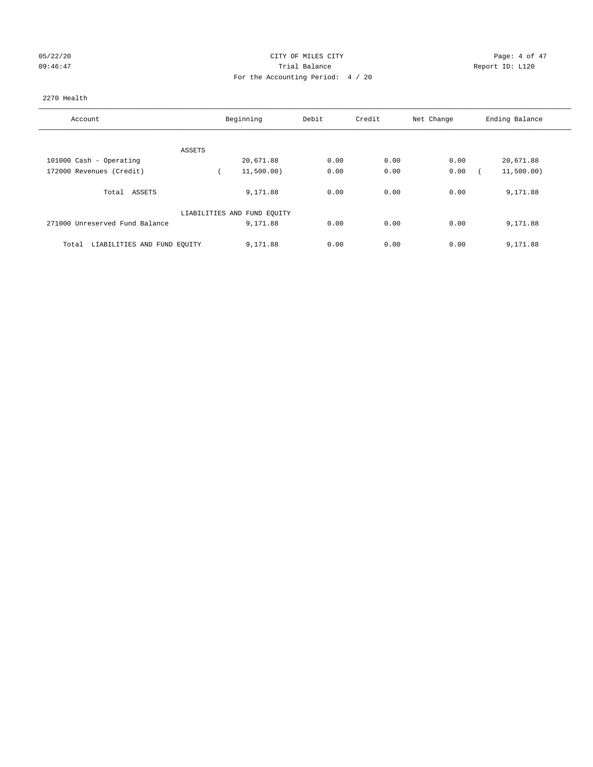## 05/22/20 CITY OF MILES CITY Page: 4 of 47 09:46:47 <br>Trial Balance Report ID: L120 For the Accounting Period: 4 / 20

#### 2270 Health

| Account                              | Beginning                   | Debit | Credit | Net Change | Ending Balance |
|--------------------------------------|-----------------------------|-------|--------|------------|----------------|
|                                      |                             |       |        |            |                |
| ASSETS                               |                             |       |        |            |                |
| 101000 Cash - Operating              | 20,671.88                   | 0.00  | 0.00   | 0.00       | 20,671.88      |
| 172000 Revenues (Credit)             | 11,500.00)                  | 0.00  | 0.00   | 0.00       | 11,500.00)     |
| Total ASSETS                         | 9,171.88                    | 0.00  | 0.00   | 0.00       | 9,171.88       |
|                                      | LIABILITIES AND FUND EQUITY |       |        |            |                |
| 271000 Unreserved Fund Balance       | 9,171.88                    | 0.00  | 0.00   | 0.00       | 9,171.88       |
| LIABILITIES AND FUND EQUITY<br>Total | 9,171.88                    | 0.00  | 0.00   | 0.00       | 9,171.88       |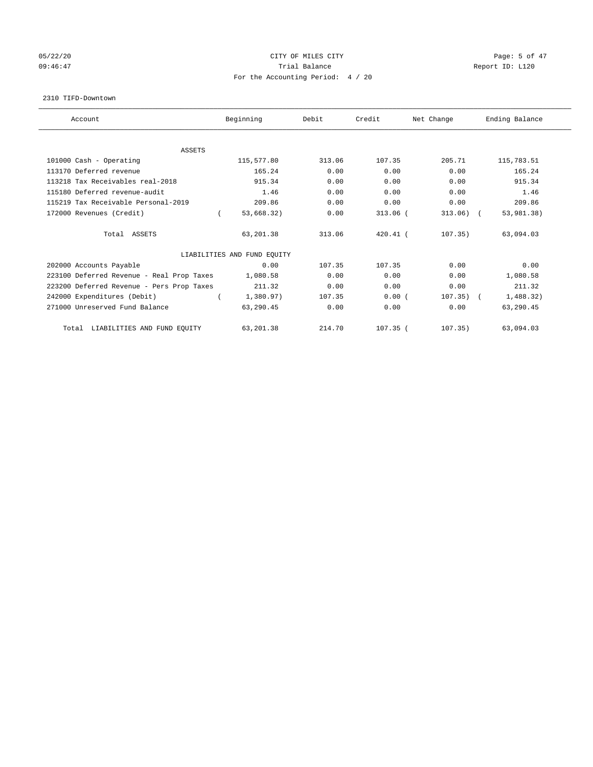## 05/22/20 **CITY OF MILES CITY** CONTROL CONTROL Page: 5 of 47 09:46:47 <br>Trial Balance Report ID: L120 For the Accounting Period: 4 / 20

#### 2310 TIFD-Downtown

| Account                                   | Beginning                   | Debit  | Credit     | Net Change  | Ending Balance |
|-------------------------------------------|-----------------------------|--------|------------|-------------|----------------|
|                                           |                             |        |            |             |                |
| <b>ASSETS</b>                             |                             |        |            |             |                |
| 101000 Cash - Operating                   | 115,577.80                  | 313.06 | 107.35     | 205.71      | 115,783.51     |
| 113170 Deferred revenue                   | 165.24                      | 0.00   | 0.00       | 0.00        | 165.24         |
| 113218 Tax Receivables real-2018          | 915.34                      | 0.00   | 0.00       | 0.00        | 915.34         |
| 115180 Deferred revenue-audit             | 1.46                        | 0.00   | 0.00       | 0.00        | 1.46           |
| 115219 Tax Receivable Personal-2019       | 209.86                      | 0.00   | 0.00       | 0.00        | 209.86         |
| 172000 Revenues (Credit)                  | 53,668.32)                  | 0.00   | $313.06$ ( | $313.06)$ ( | 53,981.38)     |
| Total ASSETS                              | 63,201.38                   | 313.06 | $420.41$ ( | 107.35)     | 63,094.03      |
|                                           | LIABILITIES AND FUND EQUITY |        |            |             |                |
| 202000 Accounts Payable                   | 0.00                        | 107.35 | 107.35     | 0.00        | 0.00           |
| 223100 Deferred Revenue - Real Prop Taxes | 1,080.58                    | 0.00   | 0.00       | 0.00        | 1,080.58       |
| 223200 Deferred Revenue - Pers Prop Taxes | 211.32                      | 0.00   | 0.00       | 0.00        | 211.32         |
| 242000 Expenditures (Debit)               | 1,380.97)                   | 107.35 | 0.00(      | $107.35)$ ( | 1,488.32)      |
| 271000 Unreserved Fund Balance            | 63,290.45                   | 0.00   | 0.00       | 0.00        | 63,290.45      |
| LIABILITIES AND FUND EQUITY<br>Total      | 63, 201.38                  | 214.70 | $107.35$ ( | 107.35)     | 63,094.03      |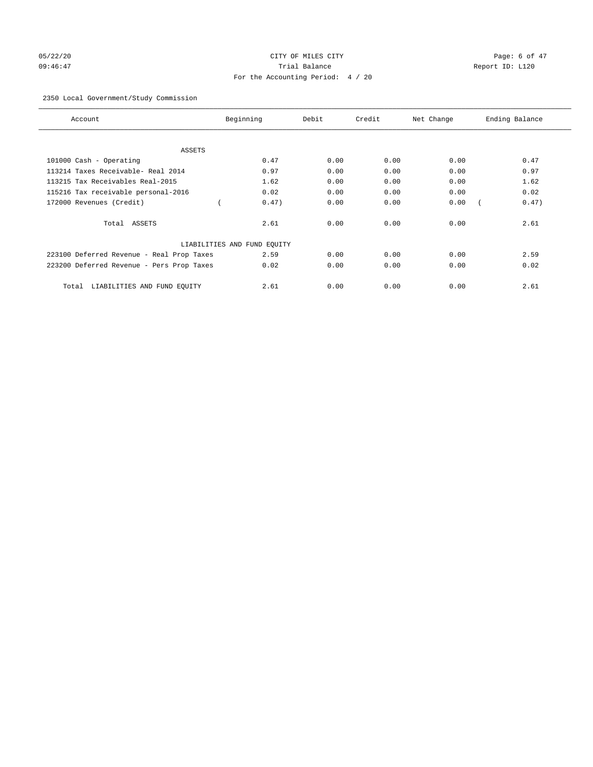# 05/22/20 CITY OF MILES CITY Page: 6 of 47 09:46:47 Trial Balance Report ID: L120 For the Accounting Period: 4 / 20

## 2350 Local Government/Study Commission

| Account                                   | Beginning                   | Debit | Credit | Net Change | Ending Balance |
|-------------------------------------------|-----------------------------|-------|--------|------------|----------------|
| ASSETS                                    |                             |       |        |            |                |
| 101000 Cash - Operating                   | 0.47                        | 0.00  | 0.00   | 0.00       | 0.47           |
| 113214 Taxes Receivable- Real 2014        | 0.97                        | 0.00  | 0.00   | 0.00       | 0.97           |
| 113215 Tax Receivables Real-2015          | 1.62                        | 0.00  | 0.00   | 0.00       | 1.62           |
| 115216 Tax receivable personal-2016       | 0.02                        | 0.00  | 0.00   | 0.00       | 0.02           |
| 172000 Revenues (Credit)                  | 0.47)                       | 0.00  | 0.00   | 0.00       | 0.47)          |
| Total ASSETS                              | 2.61                        | 0.00  | 0.00   | 0.00       | 2.61           |
|                                           | LIABILITIES AND FUND EQUITY |       |        |            |                |
| 223100 Deferred Revenue - Real Prop Taxes | 2.59                        | 0.00  | 0.00   | 0.00       | 2.59           |
| 223200 Deferred Revenue - Pers Prop Taxes | 0.02                        | 0.00  | 0.00   | 0.00       | 0.02           |
| LIABILITIES AND FUND EQUITY<br>Total      | 2.61                        | 0.00  | 0.00   | 0.00       | 2.61           |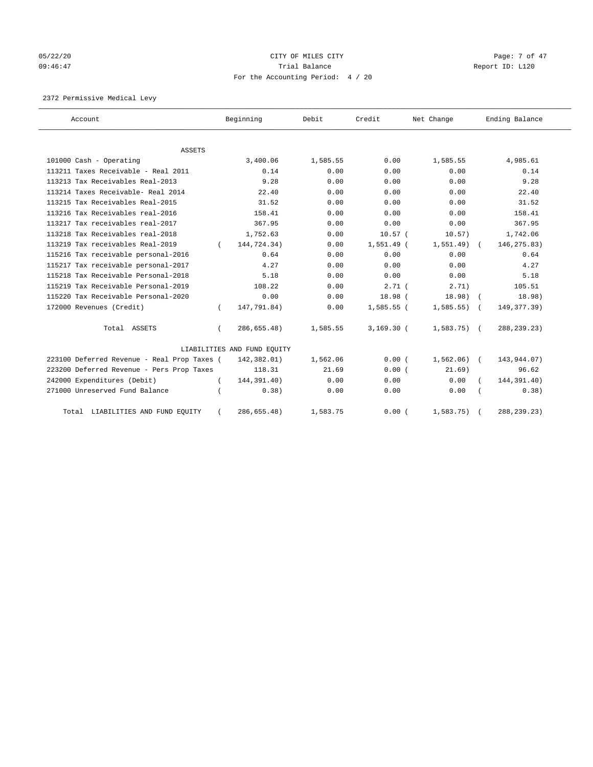# 05/22/20 **CITY OF MILES CITY** CONTROLLER CONTROLLER Page: 7 of 47 09:46:47 <br>Trial Balance Report ID: L120 For the Accounting Period: 4 / 20

2372 Permissive Medical Levy

| Account                                     |          | Beginning                   | Debit    | Credit             | Net Change     | Ending Balance |
|---------------------------------------------|----------|-----------------------------|----------|--------------------|----------------|----------------|
|                                             |          |                             |          |                    |                |                |
| <b>ASSETS</b><br>101000 Cash - Operating    |          | 3,400.06                    | 1,585.55 | 0.00               | 1,585.55       | 4,985.61       |
| 113211 Taxes Receivable - Real 2011         |          | 0.14                        | 0.00     | 0.00               | 0.00           | 0.14           |
| 113213 Tax Receivables Real-2013            |          | 9.28                        | 0.00     | 0.00               | 0.00           | 9.28           |
| 113214 Taxes Receivable- Real 2014          |          | 22.40                       | 0.00     | 0.00               | 0.00           | 22.40          |
| 113215 Tax Receivables Real-2015            |          | 31.52                       | 0.00     | 0.00               | 0.00           | 31.52          |
| 113216 Tax Receivables real-2016            |          |                             |          |                    |                |                |
|                                             |          | 158.41                      | 0.00     | 0.00               | 0.00           | 158.41         |
| 113217 Tax receivables real-2017            |          | 367.95                      | 0.00     | 0.00               | 0.00           | 367.95         |
| 113218 Tax Receivables real-2018            |          | 1,752.63                    | 0.00     | 10.57 <sub>0</sub> | 10.57)         | 1,742.06       |
| 113219 Tax receivables Real-2019            |          | 144,724.34)                 | 0.00     | $1,551.49$ (       | 1,551.49)      | 146, 275.83)   |
| 115216 Tax receivable personal-2016         |          | 0.64                        | 0.00     | 0.00               | 0.00           | 0.64           |
| 115217 Tax receivable personal-2017         |          | 4.27                        | 0.00     | 0.00               | 0.00           | 4.27           |
| 115218 Tax Receivable Personal-2018         |          | 5.18                        | 0.00     | 0.00               | 0.00           | 5.18           |
| 115219 Tax Receivable Personal-2019         |          | 108.22                      | 0.00     | 2.71(              | 2.71)          | 105.51         |
| 115220 Tax Receivable Personal-2020         |          | 0.00                        | 0.00     | 18.98(             | 18.98)         | 18.98)         |
| 172000 Revenues (Credit)                    | $\left($ | 147,791.84)                 | 0.00     | $1,585.55$ (       | $1,585.55$ ) ( | 149, 377. 39)  |
| Total ASSETS                                |          | 286,655.48)                 | 1,585.55 | $3,169.30$ (       | $1,583.75$ (   | 288, 239. 23)  |
|                                             |          | LIABILITIES AND FUND EQUITY |          |                    |                |                |
| 223100 Deferred Revenue - Real Prop Taxes ( |          | 142,382.01)                 | 1,562.06 | 0.00(              | $1,562.06$ (   | 143,944.07)    |
| 223200 Deferred Revenue - Pers Prop Taxes   |          | 118.31                      | 21.69    | 0.00(              | 21.69)         | 96.62          |
| 242000 Expenditures (Debit)                 | $\left($ | 144,391.40)                 | 0.00     | 0.00               | 0.00           | 144,391.40)    |
| 271000 Unreserved Fund Balance              |          | 0.38)                       | 0.00     | 0.00               | 0.00           | 0.38)          |
| Total LIABILITIES AND FUND EQUITY           |          | 286,655.48)                 | 1,583.75 | 0.00(              | 1,583.75       | 288, 239. 23)  |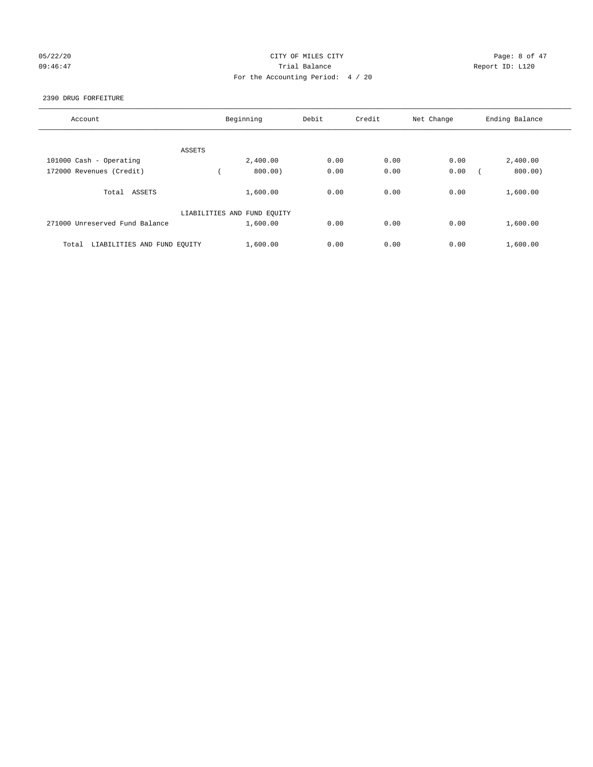## 05/22/20 **CITY OF MILES CITY CONSTRUES CONSTRUES CONSTRUES OF ALL** 09:46:47 <br>Trial Balance Report ID: L120 For the Accounting Period: 4 / 20

#### 2390 DRUG FORFEITURE

| Account                              | Beginning                   | Debit | Credit | Net Change | Ending Balance |
|--------------------------------------|-----------------------------|-------|--------|------------|----------------|
| ASSETS                               |                             |       |        |            |                |
| 101000 Cash - Operating              | 2,400.00                    | 0.00  | 0.00   | 0.00       | 2,400.00       |
| 172000 Revenues (Credit)             | 800.00)                     | 0.00  | 0.00   | 0.00       | 800.00)        |
| Total ASSETS                         | 1,600.00                    | 0.00  | 0.00   | 0.00       | 1,600.00       |
|                                      | LIABILITIES AND FUND EQUITY |       |        |            |                |
| 271000 Unreserved Fund Balance       | 1,600.00                    | 0.00  | 0.00   | 0.00       | 1,600.00       |
| LIABILITIES AND FUND EQUITY<br>Total | 1,600.00                    | 0.00  | 0.00   | 0.00       | 1,600.00       |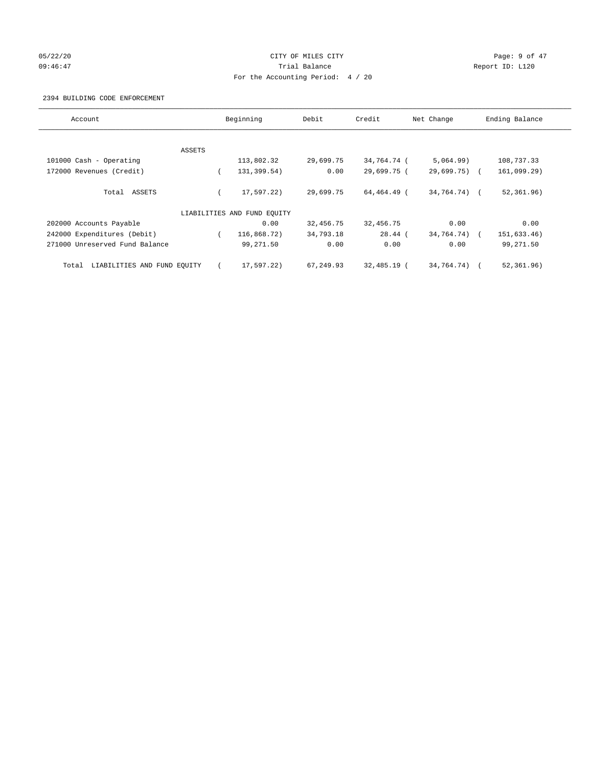# 05/22/20 **CITY OF MILES CITY CONSUMING THE CONSUMING PAGE:** 9 of 47 09:46:47 <br>Trial Balance Report ID: L120 For the Accounting Period: 4 / 20

#### 2394 BUILDING CODE ENFORCEMENT

| Account                              |        | Beginning                   | Debit     | Credit      | Net Change      | Ending Balance |
|--------------------------------------|--------|-----------------------------|-----------|-------------|-----------------|----------------|
|                                      |        |                             |           |             |                 |                |
|                                      | ASSETS |                             |           |             |                 |                |
| 101000 Cash - Operating              |        | 113,802.32                  | 29,699.75 | 34,764.74 ( | 5,064.99)       | 108,737.33     |
| 172000 Revenues (Credit)             |        | 131,399.54)                 | 0.00      | 29,699.75 ( | $29,699.75$ ) ( | 161,099.29)    |
| Total ASSETS                         |        | 17,597.22)                  | 29,699.75 | 64,464.49 ( | 34,764.74) (    | 52, 361.96)    |
|                                      |        | LIABILITIES AND FUND EQUITY |           |             |                 |                |
| 202000 Accounts Payable              |        | 0.00                        | 32,456.75 | 32,456.75   | 0.00            | 0.00           |
| 242000 Expenditures (Debit)          |        | 116,868.72)                 | 34,793.18 | $28.44$ (   | 34,764.74)      | 151,633.46)    |
| 271000 Unreserved Fund Balance       |        | 99,271.50                   | 0.00      | 0.00        | 0.00            | 99,271.50      |
| LIABILITIES AND FUND EQUITY<br>Total |        | 17,597.22)                  | 67,249.93 | 32,485.19 ( | 34,764.74) (    | 52,361.96)     |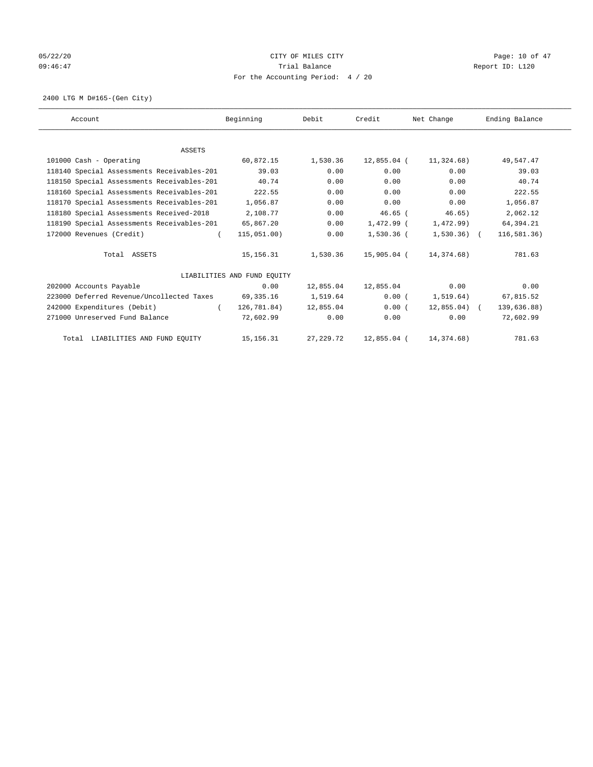## 05/22/20 **CITY OF MILES CITY CONSUMING THE PAGE:** 10 of 47 09:46:47 <br>Trial Balance Report ID: L120 For the Accounting Period: 4 / 20

2400 LTG M D#165-(Gen City)

| Account                                    | Beginning                   | Debit      | Credit      | Net Change    | Ending Balance |
|--------------------------------------------|-----------------------------|------------|-------------|---------------|----------------|
|                                            |                             |            |             |               |                |
| <b>ASSETS</b>                              |                             |            |             |               |                |
| 101000 Cash - Operating                    | 60,872.15                   | 1,530.36   | 12,855.04 ( | 11,324.68)    | 49,547.47      |
| 118140 Special Assessments Receivables-201 | 39.03                       | 0.00       | 0.00        | 0.00          | 39.03          |
| 118150 Special Assessments Receivables-201 | 40.74                       | 0.00       | 0.00        | 0.00          | 40.74          |
| 118160 Special Assessments Receivables-201 | 222.55                      | 0.00       | 0.00        | 0.00          | 222.55         |
| 118170 Special Assessments Receivables-201 | 1,056.87                    | 0.00       | 0.00        | 0.00          | 1,056.87       |
| 118180 Special Assessments Received-2018   | 2,108.77                    | 0.00       | $46.65$ (   | 46.65)        | 2,062.12       |
| 118190 Special Assessments Receivables-201 | 65,867.20                   | 0.00       | 1,472.99 (  | 1,472.99)     | 64,394.21      |
| 172000 Revenues (Credit)                   | 115,051.00)                 | 0.00       | 1,530.36 (  | $1,530.36$ (  | 116,581.36)    |
| Total ASSETS                               | 15,156.31                   | 1,530.36   | 15,905.04 ( | 14,374.68)    | 781.63         |
|                                            | LIABILITIES AND FUND EQUITY |            |             |               |                |
| 202000 Accounts Payable                    | 0.00                        | 12,855.04  | 12,855.04   | 0.00          | 0.00           |
| 223000 Deferred Revenue/Uncollected Taxes  | 69,335.16                   | 1,519.64   | 0.00(       | 1, 519.64)    | 67,815.52      |
| 242000 Expenditures (Debit)<br>$\left($    | 126,781.84)                 | 12,855.04  | 0.00(       | $12,855.04$ ( | 139,636.88)    |
| 271000 Unreserved Fund Balance             | 72,602.99                   | 0.00       | 0.00        | 0.00          | 72,602.99      |
| Total LIABILITIES AND FUND EQUITY          | 15, 156. 31                 | 27, 229.72 | 12,855.04 ( | 14, 374. 68)  | 781.63         |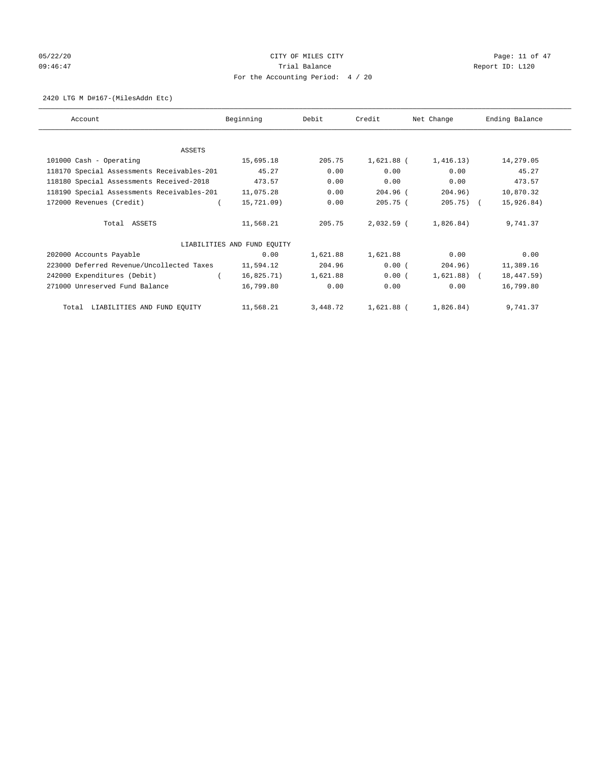# 05/22/20 **CITY OF MILES CITY CONSUMING THE PAGE:** 11 of 47 09:46:47 Trial Balance Trial Balance Report ID: L120 For the Accounting Period: 4 / 20

#### 2420 LTG M D#167-(MilesAddn Etc)

| Account                                    | Beginning                   | Debit    | Credit       | Net Change   | Ending Balance |
|--------------------------------------------|-----------------------------|----------|--------------|--------------|----------------|
|                                            |                             |          |              |              |                |
| ASSETS                                     |                             |          |              |              |                |
| 101000 Cash - Operating                    | 15,695.18                   | 205.75   | $1,621.88$ ( | 1,416.13)    | 14,279.05      |
| 118170 Special Assessments Receivables-201 | 45.27                       | 0.00     | 0.00         | 0.00         | 45.27          |
| 118180 Special Assessments Received-2018   | 473.57                      | 0.00     | 0.00         | 0.00         | 473.57         |
| 118190 Special Assessments Receivables-201 | 11,075.28                   | 0.00     | $204.96$ (   | 204.96)      | 10,870.32      |
| 172000 Revenues (Credit)                   | 15,721.09)                  | 0.00     | 205.75(      | $205.75$ ) ( | 15,926.84)     |
| Total ASSETS                               | 11,568.21                   | 205.75   | $2,032.59$ ( | 1,826.84)    | 9,741.37       |
|                                            | LIABILITIES AND FUND EQUITY |          |              |              |                |
| 202000 Accounts Payable                    | 0.00                        | 1,621.88 | 1,621.88     | 0.00         | 0.00           |
| 223000 Deferred Revenue/Uncollected Taxes  | 11,594.12                   | 204.96   | 0.00(        | 204.96)      | 11,389.16      |
| 242000 Expenditures (Debit)                | 16,825.71)                  | 1,621.88 | 0.00(        | $1,621.88$ ( | 18,447.59)     |
| 271000 Unreserved Fund Balance             | 16,799.80                   | 0.00     | 0.00         | 0.00         | 16,799.80      |
| Total LIABILITIES AND FUND EQUITY          | 11,568.21                   | 3,448.72 | 1,621.88 (   | 1,826.84)    | 9,741.37       |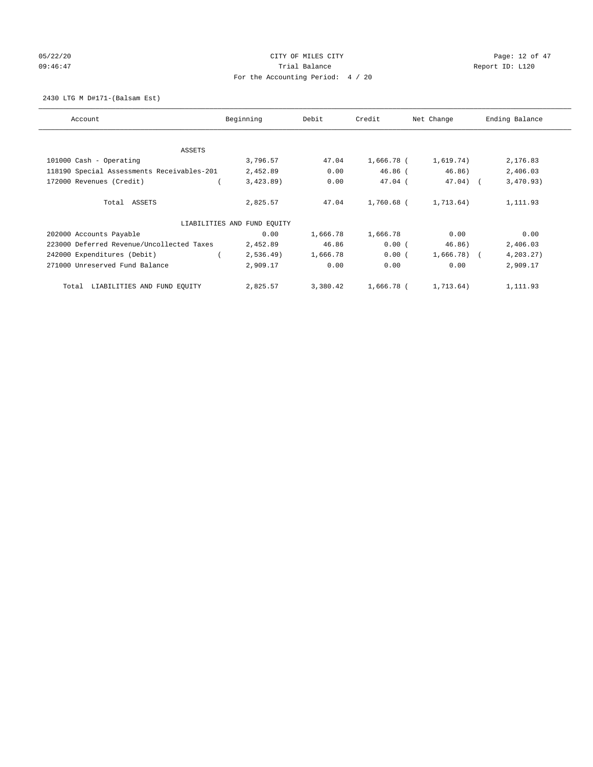# 05/22/20 **CITY OF MILES CITY CONSUMING THE PAGE:** 12 of 47 09:46:47 Trial Balance Trial Balance Report ID: L120 For the Accounting Period: 4 / 20

2430 LTG M D#171-(Balsam Est)

| Account                                    | Beginning                   | Debit    | Credit     | Net Change  | Ending Balance |
|--------------------------------------------|-----------------------------|----------|------------|-------------|----------------|
| ASSETS                                     |                             |          |            |             |                |
| 101000 Cash - Operating                    | 3,796.57                    | 47.04    | 1,666.78 ( | 1,619.74)   | 2,176.83       |
| 118190 Special Assessments Receivables-201 | 2,452.89                    | 0.00     | $46.86$ (  | 46.86)      | 2,406.03       |
| 172000 Revenues (Credit)                   | 3,423.89                    | 0.00     | $47.04$ (  | $47.04$ ) ( | 3,470.93)      |
| Total ASSETS                               | 2,825.57                    | 47.04    | 1,760.68 ( | 1,713.64)   | 1,111.93       |
|                                            | LIABILITIES AND FUND EQUITY |          |            |             |                |
| 202000 Accounts Payable                    | 0.00                        | 1,666.78 | 1,666.78   | 0.00        | 0.00           |
| 223000 Deferred Revenue/Uncollected Taxes  | 2,452.89                    | 46.86    | 0.00(      | 46.86)      | 2,406.03       |
| 242000 Expenditures (Debit)                | 2,536.49                    | 1,666.78 | 0.00(      | 1,666.78) ( | 4, 203.27)     |
| 271000 Unreserved Fund Balance             | 2,909.17                    | 0.00     | 0.00       | 0.00        | 2,909.17       |
| LIABILITIES AND FUND EQUITY<br>Total       | 2,825.57                    | 3,380.42 | 1,666.78 ( | 1,713.64)   | 1,111.93       |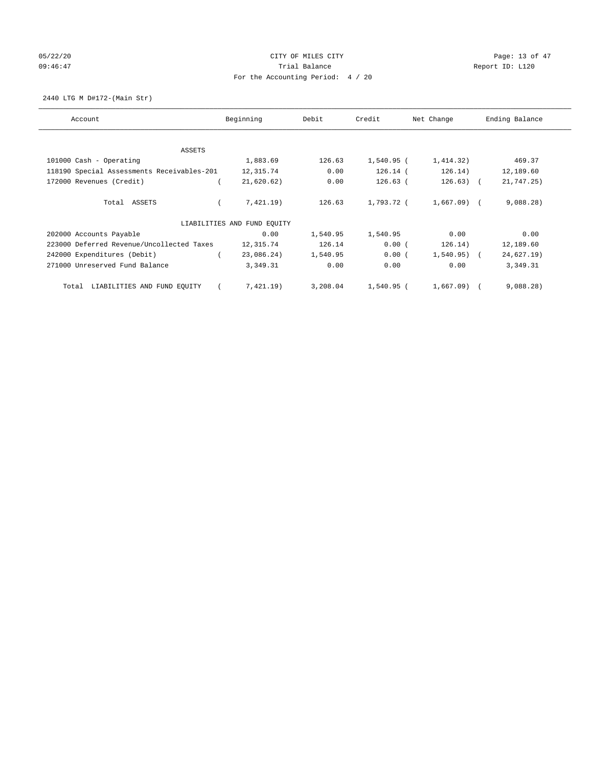# 05/22/20 **CITY OF MILES CITY CONSUMING THE CONSUMING PAGE:** 13 of 47 09:46:47 Trial Balance Trial Balance Report ID: L120 For the Accounting Period: 4 / 20

2440 LTG M D#172-(Main Str)

| Account                                    | Beginning                   | Debit    | Credit     | Net Change   | Ending Balance |
|--------------------------------------------|-----------------------------|----------|------------|--------------|----------------|
| ASSETS                                     |                             |          |            |              |                |
| 101000 Cash - Operating                    | 1,883.69                    | 126.63   | 1,540.95 ( | 1,414.32)    | 469.37         |
| 118190 Special Assessments Receivables-201 | 12,315.74                   | 0.00     | $126.14$ ( | 126.14)      | 12,189.60      |
| 172000 Revenues (Credit)                   | 21,620.62)                  | 0.00     | $126.63$ ( | $126.63$ ) ( | 21,747.25)     |
| Total ASSETS                               | 7,421.19)                   | 126.63   | 1,793.72 ( | $1,667.09$ ( | 9,088.28)      |
|                                            | LIABILITIES AND FUND EQUITY |          |            |              |                |
| 202000 Accounts Payable                    | 0.00                        | 1,540.95 | 1,540.95   | 0.00         | 0.00           |
| 223000 Deferred Revenue/Uncollected Taxes  | 12,315.74                   | 126.14   | 0.00(      | 126.14)      | 12,189.60      |
| 242000 Expenditures (Debit)                | 23,086.24)                  | 1,540.95 | $0.00$ (   | $1,540.95$ ( | 24,627.19)     |
| 271000 Unreserved Fund Balance             | 3,349.31                    | 0.00     | 0.00       | 0.00         | 3,349.31       |
| LIABILITIES AND FUND EQUITY<br>Total       | 7,421.19)                   | 3,208.04 | 1,540.95 ( | $1.667.09$ ( | 9,088.28)      |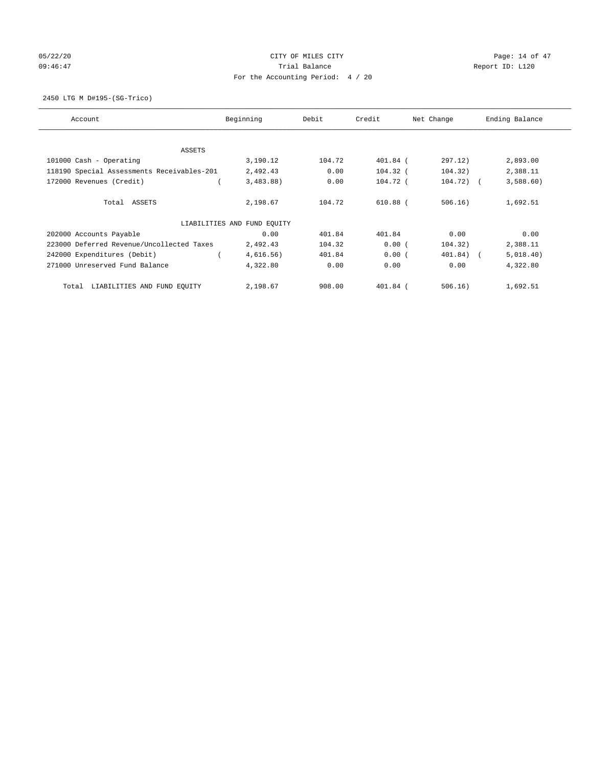# 05/22/20 **CITY OF MILES CITY CONSUMING THE PAGE OF A SET OF 47** 09:46:47 Trial Balance Trial Balance Report ID: L120 For the Accounting Period: 4 / 20

2450 LTG M D#195-(SG-Trico)

| Account                                    | Beginning                   | Debit  | Credit     | Net Change  | Ending Balance |
|--------------------------------------------|-----------------------------|--------|------------|-------------|----------------|
| ASSETS                                     |                             |        |            |             |                |
| 101000 Cash - Operating                    | 3,190.12                    | 104.72 | 401.84 (   | 297.12)     | 2,893.00       |
| 118190 Special Assessments Receivables-201 | 2,492.43                    | 0.00   | $104.32$ ( | 104.32)     | 2,388.11       |
| 172000 Revenues (Credit)                   | 3,483.88)                   | 0.00   | $104.72$ ( | $104.72)$ ( | 3,588.60       |
| Total ASSETS                               | 2,198.67                    | 104.72 | $610.88$ ( | 506.16)     | 1,692.51       |
|                                            | LIABILITIES AND FUND EQUITY |        |            |             |                |
| 202000 Accounts Payable                    | 0.00                        | 401.84 | 401.84     | 0.00        | 0.00           |
| 223000 Deferred Revenue/Uncollected Taxes  | 2,492.43                    | 104.32 | 0.00(      | 104.32)     | 2,388.11       |
| 242000 Expenditures (Debit)                | 4,616.56)                   | 401.84 | 0.00(      | 401.84) (   | 5,018.40)      |
| 271000 Unreserved Fund Balance             | 4,322.80                    | 0.00   | 0.00       | 0.00        | 4,322.80       |
| LIABILITIES AND FUND EQUITY<br>Total       | 2,198.67                    | 908.00 | 401.84 (   | 506.16)     | 1,692.51       |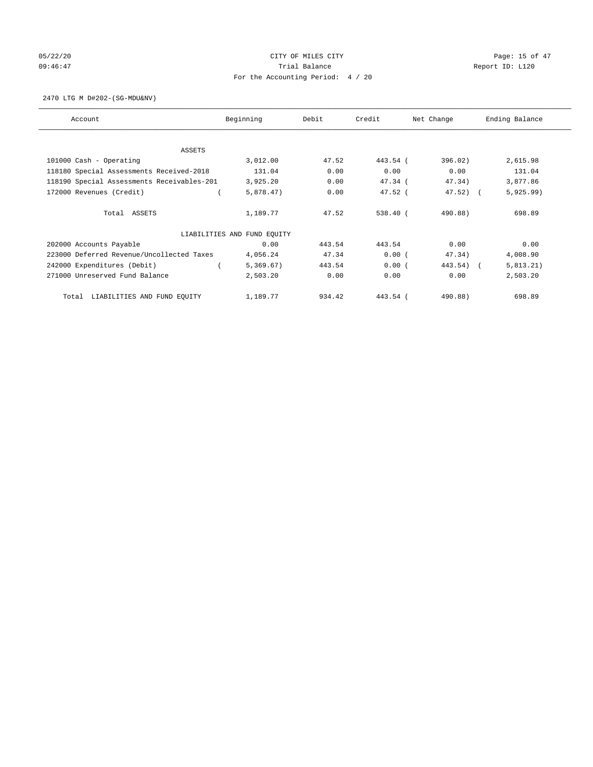# 05/22/20 **CITY OF MILES CITY CONSUMING THE CONSUMING PAGE:** 15 of 47 09:46:47 Trial Balance Trial Balance Report ID: L120 For the Accounting Period: 4 / 20

2470 LTG M D#202-(SG-MDU&NV)

| Account                                    | Beginning                   | Debit  | Credit    | Net Change | Ending Balance |
|--------------------------------------------|-----------------------------|--------|-----------|------------|----------------|
| <b>ASSETS</b>                              |                             |        |           |            |                |
| 101000 Cash - Operating                    | 3,012.00                    | 47.52  | 443.54 (  | 396.02)    | 2,615.98       |
| 118180 Special Assessments Received-2018   | 131.04                      | 0.00   | 0.00      | 0.00       | 131.04         |
| 118190 Special Assessments Receivables-201 | 3,925.20                    | 0.00   | 47.34 (   | 47.34)     | 3,877.86       |
| 172000 Revenues (Credit)                   | 5,878.47)                   | 0.00   | $47.52$ ( | 47.52)     | 5,925.99)      |
| Total ASSETS                               | 1,189.77                    | 47.52  | 538.40 (  | 490.88)    | 698.89         |
|                                            |                             |        |           |            |                |
|                                            | LIABILITIES AND FUND EQUITY |        |           |            |                |
| 202000 Accounts Payable                    | 0.00                        | 443.54 | 443.54    | 0.00       | 0.00           |
| 223000 Deferred Revenue/Uncollected Taxes  | 4,056.24                    | 47.34  | 0.00(     | 47.34)     | 4,008.90       |
| 242000 Expenditures (Debit)                | 5,369.67)                   | 443.54 | 0.00(     | 443.54)    | 5,813.21)      |
| 271000 Unreserved Fund Balance             | 2,503.20                    | 0.00   | 0.00      | 0.00       | 2,503.20       |
| LIABILITIES AND FUND EQUITY<br>Total       | 1,189.77                    | 934.42 | 443.54 (  | 490.88)    | 698.89         |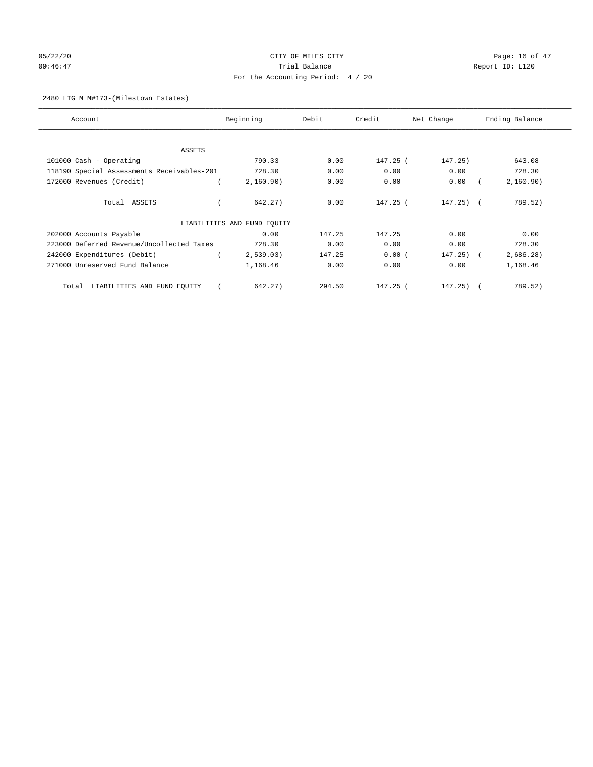# 05/22/20 **CITY OF MILES CITY CONSUMING THE CONSUMING PAGE:** 16 of 47 09:46:47 Trial Balance Trial Balance Report ID: L120 For the Accounting Period: 4 / 20

#### 2480 LTG M M#173-(Milestown Estates)

| Account                                    | Beginning                   | Debit  | Credit     | Net Change   | Ending Balance |
|--------------------------------------------|-----------------------------|--------|------------|--------------|----------------|
| <b>ASSETS</b>                              |                             |        |            |              |                |
| 101000 Cash - Operating                    | 790.33                      | 0.00   | 147.25 (   | 147.25)      | 643.08         |
| 118190 Special Assessments Receivables-201 | 728.30                      | 0.00   | 0.00       | 0.00         | 728.30         |
| 172000 Revenues (Credit)                   | 2,160.90)                   | 0.00   | 0.00       | 0.00         | 2,160.90)      |
| Total ASSETS                               | 642.27)                     | 0.00   | 147.25 (   | $147.25)$ (  | 789.52)        |
|                                            | LIABILITIES AND FUND EQUITY |        |            |              |                |
| 202000 Accounts Payable                    | 0.00                        | 147.25 | 147.25     | 0.00         | 0.00           |
| 223000 Deferred Revenue/Uncollected Taxes  | 728.30                      | 0.00   | 0.00       | 0.00         | 728.30         |
| 242000 Expenditures (Debit)                | 2,539.03)                   | 147.25 | 0.00(      | $147.25$ ) ( | 2,686.28)      |
| 271000 Unreserved Fund Balance             | 1,168.46                    | 0.00   | 0.00       | 0.00         | 1,168.46       |
| LIABILITIES AND FUND EQUITY<br>Total       | 642.27)                     | 294.50 | $147.25$ ( | $147.25$ ) ( | 789.52)        |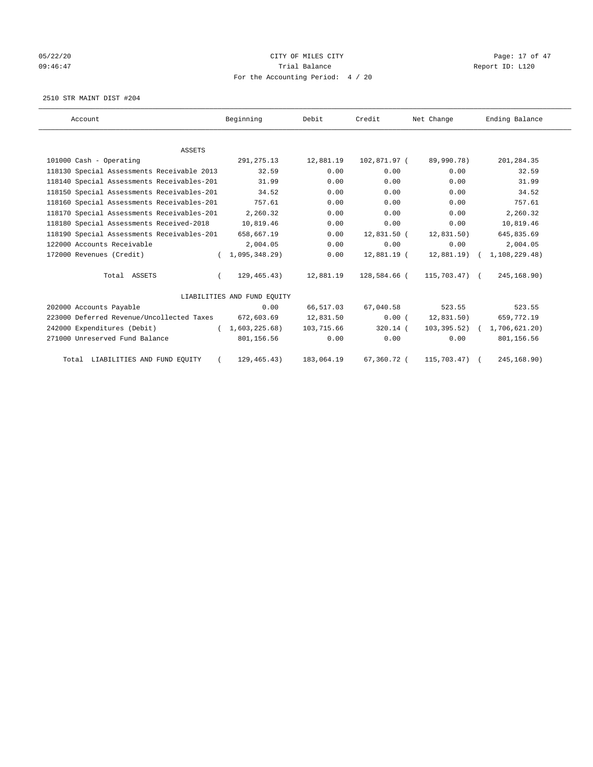# 05/22/20 **CITY OF MILES CITY CONSUMING THE PAGE:** 17 of 47 09:46:47 Trial Balance Trial Balance Report ID: L120 For the Accounting Period: 4 / 20

2510 STR MAINT DIST #204

| Account                                    | Beginning                   | Debit      | Credit       | Net Change      | Ending Balance |
|--------------------------------------------|-----------------------------|------------|--------------|-----------------|----------------|
|                                            |                             |            |              |                 |                |
| <b>ASSETS</b>                              |                             |            |              |                 |                |
| 101000 Cash - Operating                    | 291, 275. 13                | 12,881.19  | 102,871.97 ( | 89,990.78)      | 201,284.35     |
| 118130 Special Assessments Receivable 2013 | 32.59                       | 0.00       | 0.00         | 0.00            | 32.59          |
| 118140 Special Assessments Receivables-201 | 31.99                       | 0.00       | 0.00         | 0.00            | 31.99          |
| 118150 Special Assessments Receivables-201 | 34.52                       | 0.00       | 0.00         | 0.00            | 34.52          |
| 118160 Special Assessments Receivables-201 | 757.61                      | 0.00       | 0.00         | 0.00            | 757.61         |
| 118170 Special Assessments Receivables-201 | 2,260.32                    | 0.00       | 0.00         | 0.00            | 2,260.32       |
| 118180 Special Assessments Received-2018   | 10,819.46                   | 0.00       | 0.00         | 0.00            | 10,819.46      |
| 118190 Special Assessments Receivables-201 | 658,667.19                  | 0.00       | 12,831.50 (  | 12,831.50)      | 645,835.69     |
| 122000 Accounts Receivable                 | 2,004.05                    | 0.00       | 0.00         | 0.00            | 2,004.05       |
| 172000 Revenues (Credit)                   | 1,095,348.29                | 0.00       | 12,881.19 (  | 12,881.19)      | 1,108,229.48)  |
| Total ASSETS                               | 129,465.43)                 | 12,881.19  | 128,584.66 ( | $115,703.47$ (  | 245, 168.90)   |
|                                            | LIABILITIES AND FUND EQUITY |            |              |                 |                |
| 202000 Accounts Payable                    | 0.00                        | 66,517.03  | 67,040.58    | 523.55          | 523.55         |
| 223000 Deferred Revenue/Uncollected Taxes  | 672,603.69                  | 12,831.50  | $0.00$ (     | 12,831.50)      | 659,772.19     |
| 242000 Expenditures (Debit)                | (1,603,225.68)              | 103,715.66 | $320.14$ (   | $103, 395.52$ ( | 1,706,621.20)  |
| 271000 Unreserved Fund Balance             | 801,156.56                  | 0.00       | 0.00         | 0.00            | 801,156.56     |
| Total LIABILITIES AND FUND EQUITY          | 129, 465. 43)               | 183,064.19 | 67,360.72 (  | 115,703.47)     | 245,168.90)    |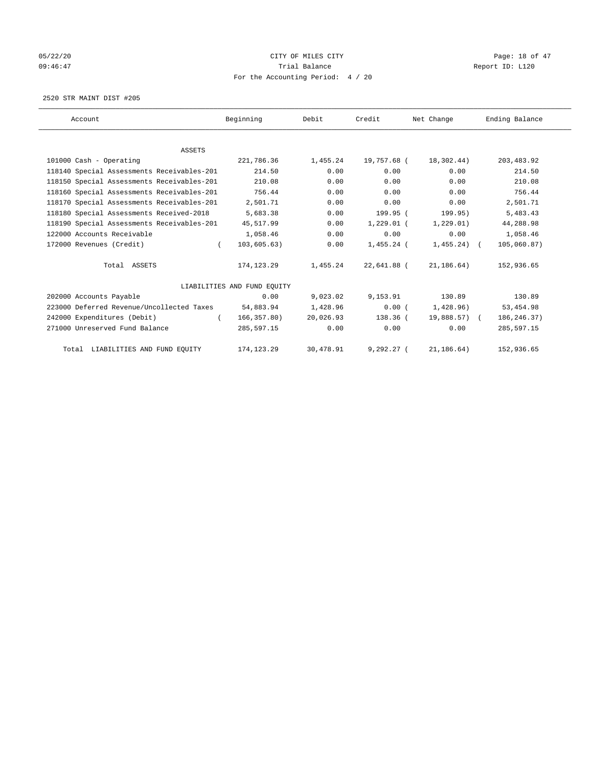# 05/22/20 **CITY OF MILES CITY CONSUMING THE PAGE OF 47** 09:46:47 Trial Balance Trial Balance Report ID: L120 For the Accounting Period: 4 / 20

2520 STR MAINT DIST #205

| Account                                    | Beginning                   | Debit     | Credit       | Net Change   | Ending Balance |
|--------------------------------------------|-----------------------------|-----------|--------------|--------------|----------------|
|                                            |                             |           |              |              |                |
| <b>ASSETS</b>                              |                             |           |              |              |                |
| 101000 Cash - Operating                    | 221,786.36                  | 1,455.24  | 19,757.68 (  | 18,302.44)   | 203, 483.92    |
| 118140 Special Assessments Receivables-201 | 214.50                      | 0.00      | 0.00         | 0.00         | 214.50         |
| 118150 Special Assessments Receivables-201 | 210.08                      | 0.00      | 0.00         | 0.00         | 210.08         |
| 118160 Special Assessments Receivables-201 | 756.44                      | 0.00      | 0.00         | 0.00         | 756.44         |
| 118170 Special Assessments Receivables-201 | 2,501.71                    | 0.00      | 0.00         | 0.00         | 2,501.71       |
| 118180 Special Assessments Received-2018   | 5,683.38                    | 0.00      | 199.95 (     | 199.95)      | 5,483.43       |
| 118190 Special Assessments Receivables-201 | 45,517.99                   | 0.00      | $1,229.01$ ( | 1, 229.01)   | 44,288.98      |
| 122000 Accounts Receivable                 | 1,058.46                    | 0.00      | 0.00         | 0.00         | 1,058.46       |
| 172000 Revenues (Credit)                   | 103, 605.63)<br>$\left($    | 0.00      | $1,455.24$ ( | $1,455.24$ ( | 105,060.87)    |
| Total ASSETS                               | 174,123.29                  | 1,455.24  | 22,641.88 (  | 21,186.64)   | 152,936.65     |
|                                            | LIABILITIES AND FUND EQUITY |           |              |              |                |
| 202000 Accounts Payable                    | 0.00                        | 9,023.02  | 9,153.91     | 130.89       | 130.89         |
| 223000 Deferred Revenue/Uncollected Taxes  | 54,883.94                   | 1,428.96  | 0.00(        | 1,428.96)    | 53, 454.98     |
| 242000 Expenditures (Debit)                | 166, 357.80)                | 20,026.93 | $138.36$ (   | 19,888.57) ( | 186, 246. 37)  |
| 271000 Unreserved Fund Balance             | 285,597.15                  | 0.00      | 0.00         | 0.00         | 285,597.15     |
| Total LIABILITIES AND FUND EQUITY          | 174, 123. 29                | 30,478.91 | $9,292.27$ ( | 21, 186.64)  | 152,936.65     |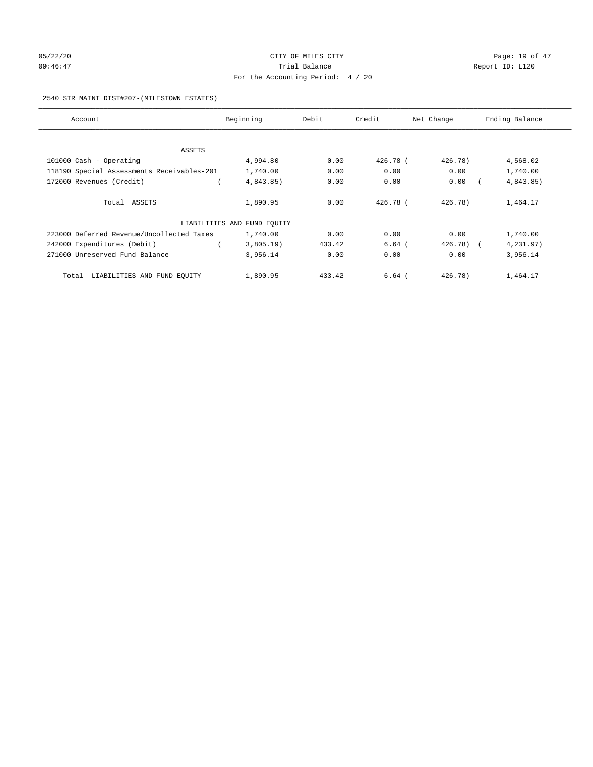# 05/22/20 **CITY OF MILES CITY CONSUMING THE CONSUMING PAGE:** 19 of 47 09:46:47 Trial Balance Trial Balance Report ID: L120 For the Accounting Period: 4 / 20

#### 2540 STR MAINT DIST#207-(MILESTOWN ESTATES)

| Account                                    | Beginning                   | Debit  | Credit   | Net Change            | Ending Balance |
|--------------------------------------------|-----------------------------|--------|----------|-----------------------|----------------|
|                                            |                             |        |          |                       |                |
| ASSETS                                     |                             |        |          |                       |                |
| 101000 Cash - Operating                    | 4,994.80                    | 0.00   | 426.78 ( | 426.78)               | 4,568.02       |
| 118190 Special Assessments Receivables-201 | 1,740.00                    | 0.00   | 0.00     | 0.00                  | 1,740.00       |
| 172000 Revenues (Credit)                   | 4,843.85)                   | 0.00   | 0.00     | 0.00                  | 4,843.85)      |
| Total ASSETS                               | 1,890.95                    | 0.00   | 426.78 ( | 426.78                | 1,464.17       |
|                                            | LIABILITIES AND FUND EQUITY |        |          |                       |                |
| 223000 Deferred Revenue/Uncollected Taxes  | 1,740.00                    | 0.00   | 0.00     | 0.00                  | 1,740.00       |
| 242000 Expenditures (Debit)                | $3,805.19$ )                | 433.42 | $6.64$ ( | 426.78)<br>$\sqrt{2}$ | 4,231.97)      |
| 271000 Unreserved Fund Balance             | 3,956.14                    | 0.00   | 0.00     | 0.00                  | 3,956.14       |
| LIABILITIES AND FUND EQUITY<br>Total       | 1,890.95                    | 433.42 | $6.64$ ( | 426.78)               | 1,464.17       |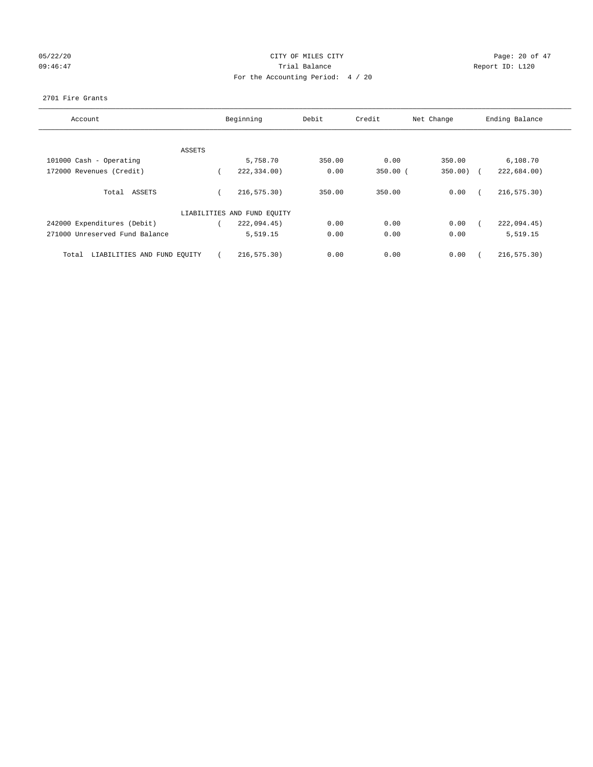# 05/22/20 **CITY OF MILES CITY CONSUMING THE CONSUMING PAGE:** 20 of 47 09:46:47 <br>Trial Balance Report ID: L120 For the Accounting Period: 4 / 20

#### 2701 Fire Grants

| Account                              | Beginning                   | Debit  | Credit       | Net Change | Ending Balance |
|--------------------------------------|-----------------------------|--------|--------------|------------|----------------|
|                                      |                             |        |              |            |                |
| ASSETS                               |                             |        |              |            |                |
| 101000 Cash - Operating              | 5,758.70                    | 350.00 | 0.00         | 350.00     | 6,108.70       |
| 172000 Revenues (Credit)             | 222,334.00)                 | 0.00   | $350.00$ $($ | 350.00     | 222,684.00)    |
| Total ASSETS                         | 216, 575.30)                | 350.00 | 350.00       | 0.00       | 216, 575.30)   |
|                                      | LIABILITIES AND FUND EQUITY |        |              |            |                |
| 242000 Expenditures (Debit)          | 222,094.45)                 | 0.00   | 0.00         | 0.00       | 222,094.45)    |
| 271000 Unreserved Fund Balance       | 5,519.15                    | 0.00   | 0.00         | 0.00       | 5,519.15       |
| LIABILITIES AND FUND EQUITY<br>Total | 216, 575.30)                | 0.00   | 0.00         | 0.00       | 216, 575.30)   |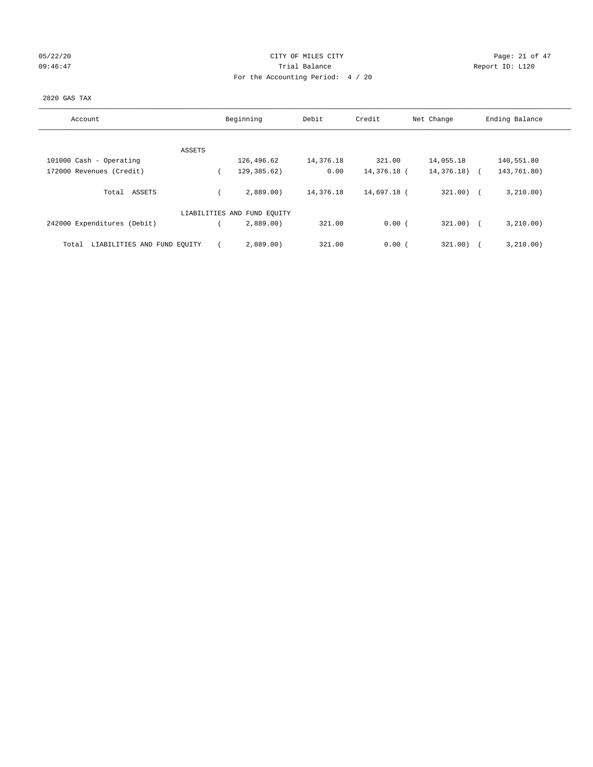# 05/22/20 Page: 21 of 47 09:46:47 Trial Balance Trial Balance Report ID: L120 For the Accounting Period: 4 / 20

#### 2820 GAS TAX

| Account                              | Beginning                   | Debit     | Credit      | Net Change |               | Ending Balance |
|--------------------------------------|-----------------------------|-----------|-------------|------------|---------------|----------------|
|                                      |                             |           |             |            |               |                |
| ASSETS                               |                             |           |             |            |               |                |
| 101000 Cash - Operating              | 126,496.62                  | 14,376.18 | 321.00      | 14,055.18  |               | 140,551.80     |
| 172000 Revenues (Credit)             | 129,385.62)                 | 0.00      | 14,376.18 ( |            | $14,376.18$ ( | 143,761.80)    |
| Total ASSETS                         | 2,889.00                    | 14,376.18 | 14,697.18 ( |            | $321.00$ ) (  | 3,210.00)      |
|                                      | LIABILITIES AND FUND EQUITY |           |             |            |               |                |
| 242000 Expenditures (Debit)          | 2,889.00                    | 321.00    | 0.00(       |            | $321.00$ (    | 3,210.00)      |
| LIABILITIES AND FUND EQUITY<br>Total | 2,889,00                    | 321.00    | 0.00(       |            | 321.00)       | 3, 210.00)     |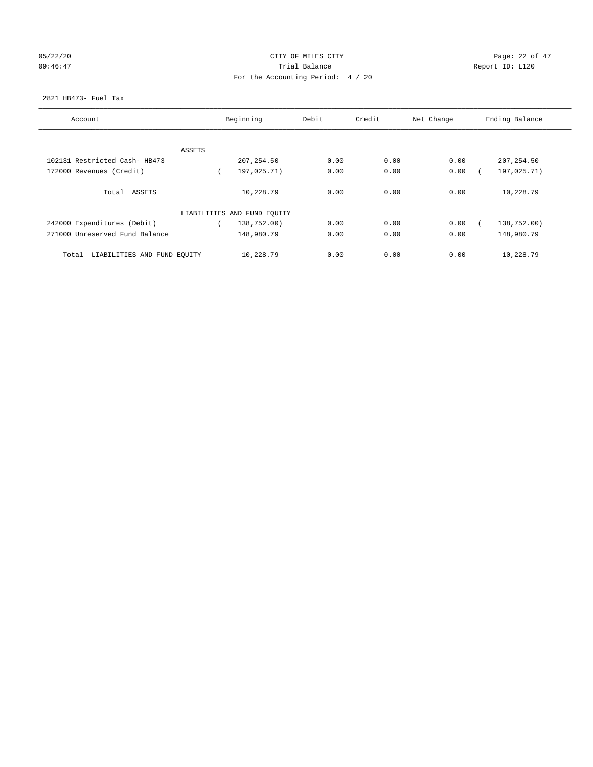# 05/22/20 Page: 22 of 47 09:46:47 Trial Balance Trial Balance Report ID: L120 For the Accounting Period: 4 / 20

#### 2821 HB473- Fuel Tax

| Account                              |        | Beginning                   | Debit | Credit | Net Change | Ending Balance |
|--------------------------------------|--------|-----------------------------|-------|--------|------------|----------------|
|                                      |        |                             |       |        |            |                |
|                                      | ASSETS |                             |       |        |            |                |
| 102131 Restricted Cash- HB473        |        | 207, 254.50                 | 0.00  | 0.00   | 0.00       | 207, 254.50    |
| 172000 Revenues (Credit)             |        | 197,025.71)                 | 0.00  | 0.00   | 0.00       | 197,025.71)    |
| Total ASSETS                         |        | 10,228.79                   | 0.00  | 0.00   | 0.00       | 10,228.79      |
|                                      |        | LIABILITIES AND FUND EQUITY |       |        |            |                |
| 242000 Expenditures (Debit)          |        | 138,752.00)                 | 0.00  | 0.00   | 0.00       | 138,752.00)    |
| 271000 Unreserved Fund Balance       |        | 148,980.79                  | 0.00  | 0.00   | 0.00       | 148,980.79     |
| LIABILITIES AND FUND EQUITY<br>Total |        | 10,228.79                   | 0.00  | 0.00   | 0.00       | 10,228.79      |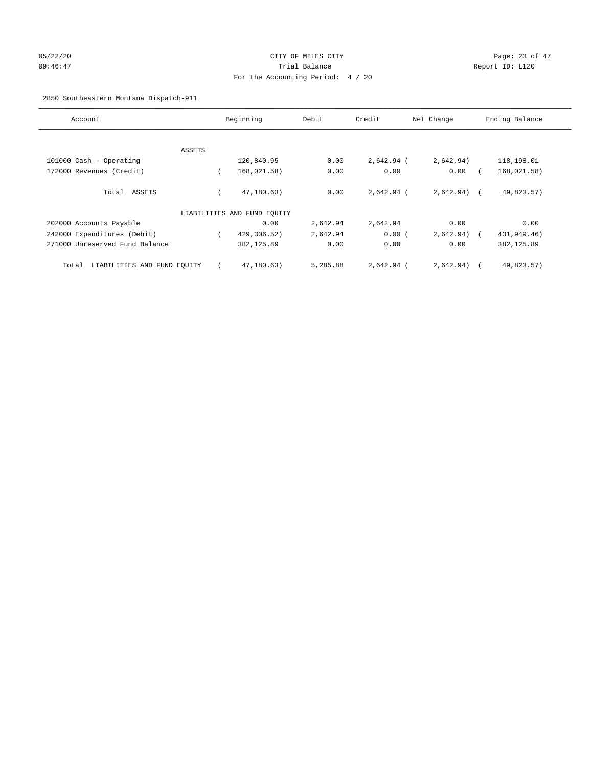# 05/22/20 Page: 23 of 47 09:46:47 Trial Balance Report ID: L120 For the Accounting Period: 4 / 20

## 2850 Southeastern Montana Dispatch-911

| Account                              |        | Beginning                   | Debit    | Credit       | Net Change   | Ending Balance |
|--------------------------------------|--------|-----------------------------|----------|--------------|--------------|----------------|
|                                      |        |                             |          |              |              |                |
|                                      | ASSETS |                             |          |              |              |                |
| 101000 Cash - Operating              |        | 120,840.95                  | 0.00     | 2,642.94 (   | 2,642.94)    | 118,198.01     |
| 172000 Revenues (Credit)             |        | 168,021.58)                 | 0.00     | 0.00         | 0.00         | 168,021.58)    |
| Total ASSETS                         |        | 47,180.63)                  | 0.00     | $2,642.94$ ( | $2,642.94$ ( | 49,823.57)     |
|                                      |        | LIABILITIES AND FUND EQUITY |          |              |              |                |
| 202000 Accounts Payable              |        | 0.00                        | 2,642.94 | 2,642.94     | 0.00         | 0.00           |
| 242000 Expenditures (Debit)          |        | 429,306.52)                 | 2,642.94 | 0.00(        | 2,642.94)    | 431,949.46)    |
| 271000 Unreserved Fund Balance       |        | 382,125.89                  | 0.00     | 0.00         | 0.00         | 382, 125.89    |
| LIABILITIES AND FUND EQUITY<br>Total |        | 47,180.63)                  | 5,285.88 | 2,642.94 (   | 2,642.94)    | 49,823.57)     |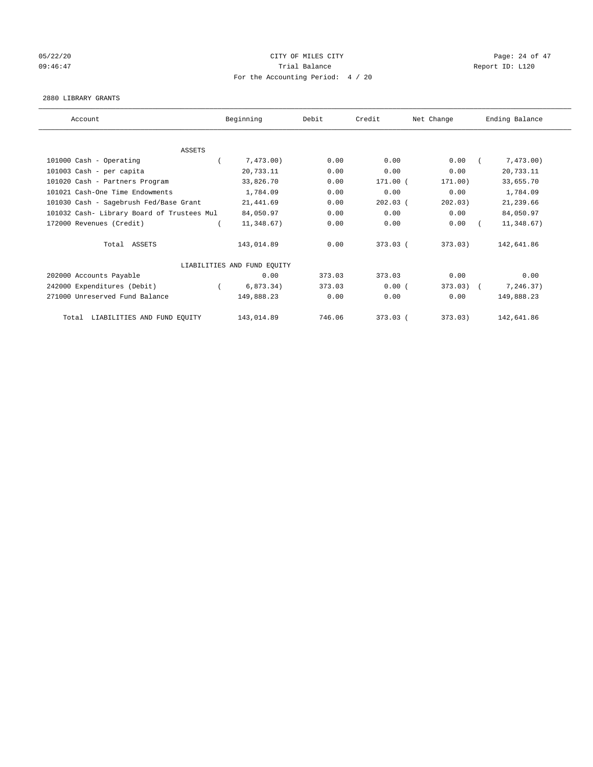## 05/22/20 Page: 24 of 47 09:46:47 <br>Trial Balance Report ID: L120 For the Accounting Period: 4 / 20

#### 2880 LIBRARY GRANTS

| Account                                    | Beginning                   | Debit  | Credit     | Net Change | Ending Balance |
|--------------------------------------------|-----------------------------|--------|------------|------------|----------------|
|                                            |                             |        |            |            |                |
| <b>ASSETS</b>                              |                             |        |            |            |                |
| 101000 Cash - Operating                    | 7,473.00)                   | 0.00   | 0.00       | 0.00       | 7,473.00)      |
| 101003 Cash - per capita                   | 20,733.11                   | 0.00   | 0.00       | 0.00       | 20,733.11      |
| 101020 Cash - Partners Program             | 33,826.70                   | 0.00   | $171.00$ ( | 171.00)    | 33,655.70      |
| 101021 Cash-One Time Endowments            | 1,784.09                    | 0.00   | 0.00       | 0.00       | 1,784.09       |
| 101030 Cash - Sagebrush Fed/Base Grant     | 21,441.69                   | 0.00   | $202.03$ ( | 202.03)    | 21,239.66      |
| 101032 Cash- Library Board of Trustees Mul | 84,050.97                   | 0.00   | 0.00       | 0.00       | 84,050.97      |
| 172000 Revenues (Credit)                   | 11,348.67)                  | 0.00   | 0.00       | 0.00       | 11,348.67)     |
| Total ASSETS                               | 143,014.89                  | 0.00   | $373.03$ ( | 373.03)    | 142,641.86     |
|                                            | LIABILITIES AND FUND EQUITY |        |            |            |                |
| 202000 Accounts Payable                    | 0.00                        | 373.03 | 373.03     | 0.00       | 0.00           |
| 242000 Expenditures (Debit)                | 6,873.34)                   | 373.03 | 0.00(      | 373.03     | 7,246.37)      |
| 271000 Unreserved Fund Balance             | 149,888.23                  | 0.00   | 0.00       | 0.00       | 149,888.23     |
| LIABILITIES AND FUND EQUITY<br>Total       | 143,014.89                  | 746.06 | 373.03 (   | 373.03)    | 142,641.86     |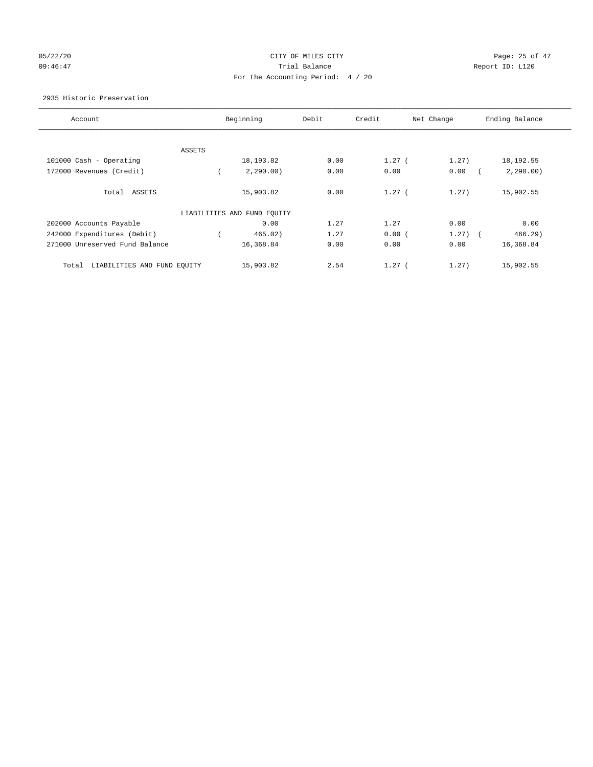# 05/22/20 Page: 25 of 47 09:46:47 Trial Balance Report ID: L120 For the Accounting Period: 4 / 20

#### 2935 Historic Preservation

| Account                              |        | Beginning                   | Debit | Credit   | Net Change | Ending Balance |
|--------------------------------------|--------|-----------------------------|-------|----------|------------|----------------|
|                                      |        |                             |       |          |            |                |
|                                      | ASSETS |                             |       |          |            |                |
| 101000 Cash - Operating              |        | 18,193.82                   | 0.00  | $1.27$ ( | 1.27)      | 18, 192.55     |
| 172000 Revenues (Credit)             |        | 2,290,00)                   | 0.00  | 0.00     | 0.00       | 2, 290.00)     |
| Total ASSETS                         |        | 15,903.82                   | 0.00  | $1.27$ ( | 1.27)      | 15,902.55      |
|                                      |        | LIABILITIES AND FUND EQUITY |       |          |            |                |
| 202000 Accounts Payable              |        | 0.00                        | 1.27  | 1.27     | 0.00       | 0.00           |
| 242000 Expenditures (Debit)          |        | 465.02)                     | 1.27  | 0.00(    | $1.27$ $($ | 466.29)        |
| 271000 Unreserved Fund Balance       |        | 16,368.84                   | 0.00  | 0.00     | 0.00       | 16,368.84      |
| LIABILITIES AND FUND EQUITY<br>Total |        | 15,903.82                   | 2.54  | 1.27(    | 1.27)      | 15,902.55      |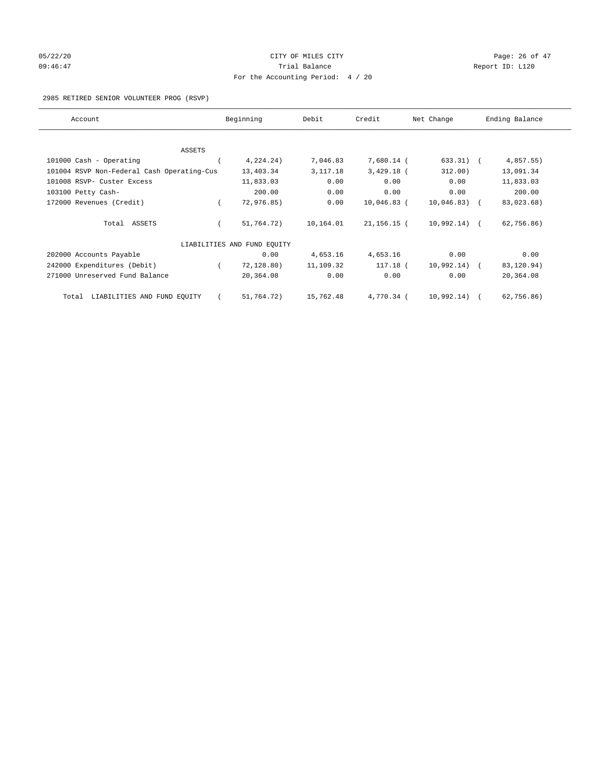# 05/22/20 **CITY OF MILES CITY CONSUMING THE CONSUMING PAGE:** 26 of 47 09:46:47 <br>Trial Balance Report ID: L120 For the Accounting Period: 4 / 20

#### 2985 RETIRED SENIOR VOLUNTEER PROG (RSVP)

| Account                                    | Beginning                   | Debit      | Credit         | Net Change     | Ending Balance |
|--------------------------------------------|-----------------------------|------------|----------------|----------------|----------------|
|                                            |                             |            |                |                |                |
| <b>ASSETS</b><br>101000 Cash - Operating   | 4,224.24)                   | 7,046.83   | 7,680.14 (     | $633.31)$ (    | 4,857.55)      |
|                                            |                             |            |                |                |                |
| 101004 RSVP Non-Federal Cash Operating-Cus | 13,403.34                   | 3, 117. 18 | $3,429.18$ (   | 312.00)        | 13,091.34      |
| 101008 RSVP- Custer Excess                 | 11,833.03                   | 0.00       | 0.00           | 0.00           | 11,833.03      |
| 103100 Petty Cash-                         | 200.00                      | 0.00       | 0.00           | 0.00           | 200.00         |
| 172000 Revenues (Credit)                   | 72,976.85)                  | 0.00       | $10,046.83$ (  | 10,046.83)     | 83,023.68)     |
| Total ASSETS                               | 51,764.72)                  | 10,164.01  | $21, 156.15$ ( | $10,992.14)$ ( | 62,756.86)     |
|                                            | LIABILITIES AND FUND EOUITY |            |                |                |                |
| 202000 Accounts Payable                    | 0.00                        | 4,653.16   | 4,653.16       | 0.00           | 0.00           |
| 242000 Expenditures (Debit)                | 72, 128.80)                 | 11,109.32  | 117.18 (       | 10,992.14)     | 83,120.94)     |
| 271000 Unreserved Fund Balance             | 20,364.08                   | 0.00       | 0.00           | 0.00           | 20,364.08      |
| LIABILITIES AND FUND EQUITY<br>Total       | 51,764.72)                  | 15,762.48  | 4,770.34 (     | 10,992.14)     | 62,756.86)     |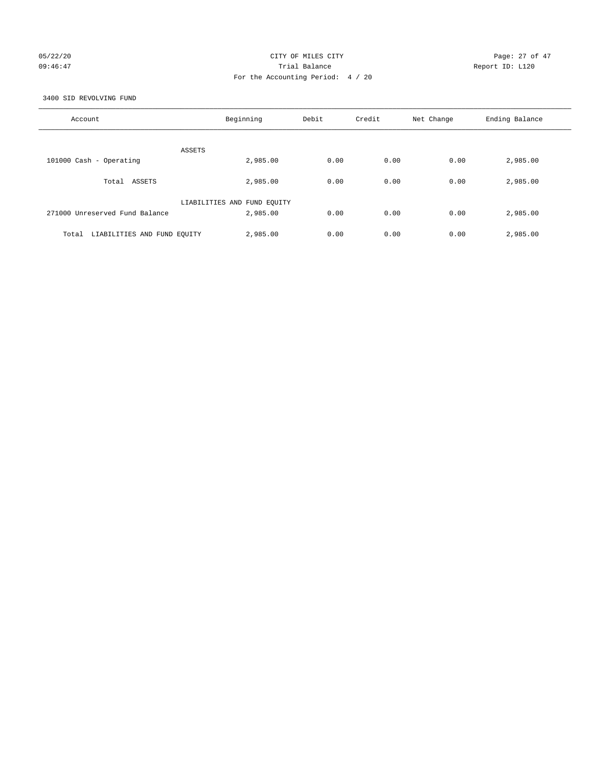## 05/22/20 Page: 27 of 47 09:46:47 <br>Trial Balance Report ID: L120 For the Accounting Period: 4 / 20

3400 SID REVOLVING FUND

| Account                              | Beginning                   | Debit | Credit | Net Change | Ending Balance |
|--------------------------------------|-----------------------------|-------|--------|------------|----------------|
| ASSETS                               |                             |       |        |            |                |
| 101000 Cash - Operating              | 2,985.00                    | 0.00  | 0.00   | 0.00       | 2,985.00       |
| Total ASSETS                         | 2,985.00                    | 0.00  | 0.00   | 0.00       | 2,985.00       |
|                                      | LIABILITIES AND FUND EQUITY |       |        |            |                |
| 271000 Unreserved Fund Balance       | 2,985.00                    | 0.00  | 0.00   | 0.00       | 2,985.00       |
| LIABILITIES AND FUND EQUITY<br>Total | 2,985.00                    | 0.00  | 0.00   | 0.00       | 2,985.00       |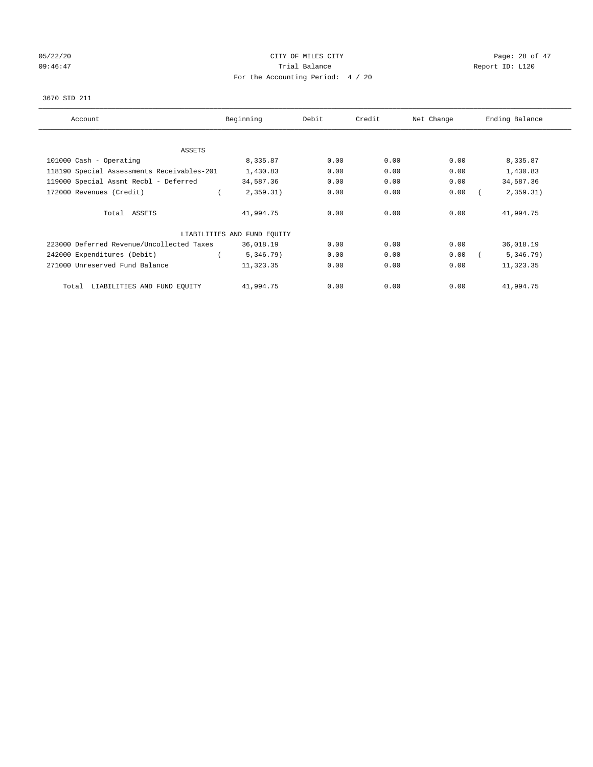# 05/22/20 **CITY OF MILES CITY CONSUMING THE CONSUMING PAGE:** 28 of 47 09:46:47 Trial Balance Trial Balance Report ID: L120 For the Accounting Period: 4 / 20

#### 3670 SID 211

| Account                                    | Beginning                   | Debit | Credit | Net Change | Ending Balance |
|--------------------------------------------|-----------------------------|-------|--------|------------|----------------|
| ASSETS                                     |                             |       |        |            |                |
| 101000 Cash - Operating                    | 8,335.87                    | 0.00  | 0.00   | 0.00       | 8,335.87       |
| 118190 Special Assessments Receivables-201 | 1,430.83                    | 0.00  | 0.00   | 0.00       | 1,430.83       |
| 119000 Special Assmt Recbl - Deferred      | 34,587.36                   | 0.00  | 0.00   | 0.00       | 34,587.36      |
| 172000 Revenues (Credit)                   | 2,359.31)                   | 0.00  | 0.00   | 0.00       | 2,359.31)      |
| Total ASSETS                               | 41,994.75                   | 0.00  | 0.00   | 0.00       | 41,994.75      |
|                                            | LIABILITIES AND FUND EQUITY |       |        |            |                |
| 223000 Deferred Revenue/Uncollected Taxes  | 36,018.19                   | 0.00  | 0.00   | 0.00       | 36,018.19      |
| 242000 Expenditures (Debit)                | 5,346.79)                   | 0.00  | 0.00   | 0.00       | 5,346.79)      |
| 271000 Unreserved Fund Balance             | 11,323.35                   | 0.00  | 0.00   | 0.00       | 11,323.35      |
| LIABILITIES AND FUND EQUITY<br>Total       | 41,994.75                   | 0.00  | 0.00   | 0.00       | 41,994.75      |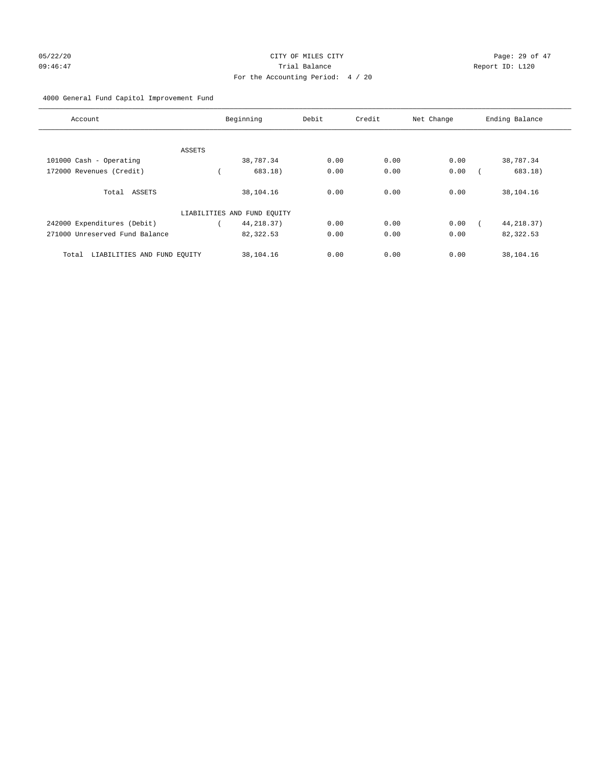# 05/22/20 **CITY OF MILES CITY CONSTRUSS OF ALL** Page: 29 of 47 09:46:47 Trial Balance Report ID: L120 For the Accounting Period: 4 / 20

## 4000 General Fund Capitol Improvement Fund

| Account                              |        | Beginning                   | Debit | Credit | Net Change | Ending Balance |
|--------------------------------------|--------|-----------------------------|-------|--------|------------|----------------|
|                                      |        |                             |       |        |            |                |
|                                      | ASSETS |                             |       |        |            |                |
| 101000 Cash - Operating              |        | 38,787.34                   | 0.00  | 0.00   | 0.00       | 38,787.34      |
| 172000 Revenues (Credit)             |        | 683.18)                     | 0.00  | 0.00   | 0.00       | 683.18)        |
| Total ASSETS                         |        | 38,104.16                   | 0.00  | 0.00   | 0.00       | 38,104.16      |
|                                      |        | LIABILITIES AND FUND EQUITY |       |        |            |                |
| 242000 Expenditures (Debit)          |        | 44, 218.37)                 | 0.00  | 0.00   | 0.00       | 44, 218.37)    |
| 271000 Unreserved Fund Balance       |        | 82,322.53                   | 0.00  | 0.00   | 0.00       | 82,322.53      |
| LIABILITIES AND FUND EQUITY<br>Total |        | 38,104.16                   | 0.00  | 0.00   | 0.00       | 38,104.16      |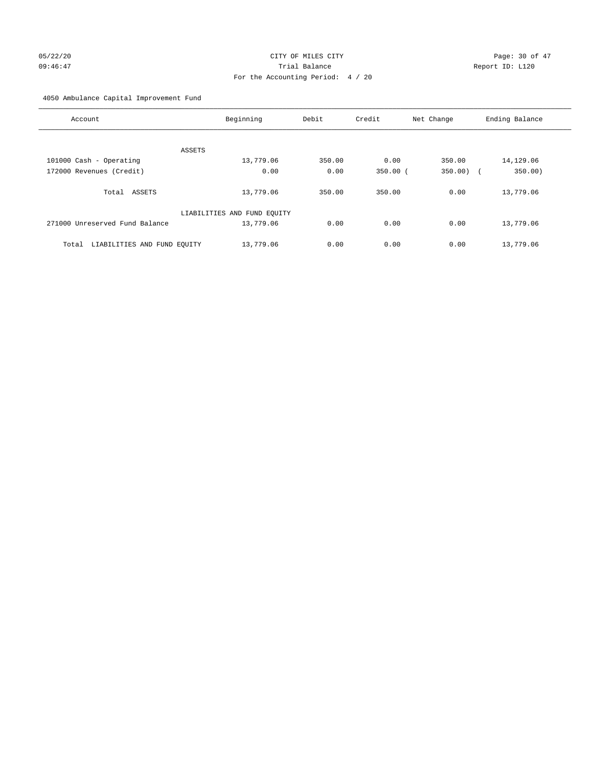# 05/22/20 **CITY OF MILES CITY CONSUMING THE PAGE:** 30 of 47 09:46:47 Trial Balance Report ID: L120 For the Accounting Period: 4 / 20

4050 Ambulance Capital Improvement Fund

| Account                              | Beginning                   | Debit  | Credit     | Net Change        | Ending Balance |
|--------------------------------------|-----------------------------|--------|------------|-------------------|----------------|
|                                      |                             |        |            |                   |                |
| ASSETS<br>101000 Cash - Operating    | 13,779.06                   | 350.00 | 0.00       | 350.00            | 14,129.06      |
|                                      |                             |        |            |                   |                |
| 172000 Revenues (Credit)             | 0.00                        | 0.00   | $350.00$ ( | 350.00)<br>$\sim$ | 350.00)        |
| Total ASSETS                         | 13,779.06                   | 350.00 | 350.00     | 0.00              | 13,779.06      |
|                                      | LIABILITIES AND FUND EQUITY |        |            |                   |                |
| 271000 Unreserved Fund Balance       | 13,779.06                   | 0.00   | 0.00       | 0.00              | 13,779.06      |
| LIABILITIES AND FUND EQUITY<br>Total | 13,779.06                   | 0.00   | 0.00       | 0.00              | 13,779.06      |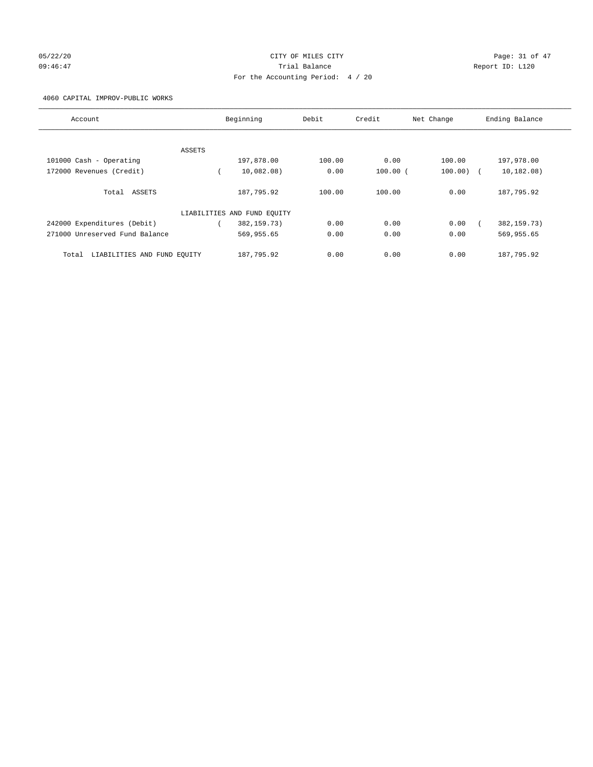# 05/22/20 **CITY OF MILES CITY CONSUMING THE CONSUMING PAGE:** 31 of 47 09:46:47 Trial Balance Report ID: L120 For the Accounting Period: 4 / 20

#### 4060 CAPITAL IMPROV-PUBLIC WORKS

| Account                              |        | Beginning                   | Debit  | Credit       | Net Change | Ending Balance |
|--------------------------------------|--------|-----------------------------|--------|--------------|------------|----------------|
|                                      |        |                             |        |              |            |                |
|                                      | ASSETS |                             |        |              |            |                |
| 101000 Cash - Operating              |        | 197,878.00                  | 100.00 | 0.00         | 100.00     | 197,978.00     |
| 172000 Revenues (Credit)             |        | 10.082.08                   | 0.00   | $100.00$ $($ | 100.00     | 10, 182, 08)   |
| Total ASSETS                         |        | 187,795.92                  | 100.00 | 100.00       | 0.00       | 187,795.92     |
|                                      |        | LIABILITIES AND FUND EQUITY |        |              |            |                |
| 242000 Expenditures (Debit)          |        | 382, 159. 73)               | 0.00   | 0.00         | 0.00       | 382, 159. 73)  |
| 271000 Unreserved Fund Balance       |        | 569,955.65                  | 0.00   | 0.00         | 0.00       | 569,955.65     |
| LIABILITIES AND FUND EQUITY<br>Total |        | 187,795.92                  | 0.00   | 0.00         | 0.00       | 187.795.92     |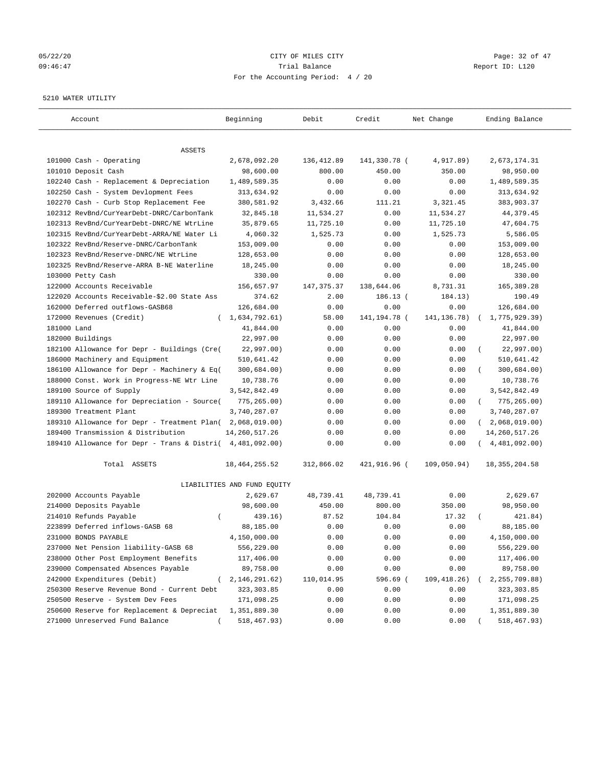## 05/22/20 Page: 32 of 47 09:46:47 Trial Balance Report ID: L120 For the Accounting Period: 4 / 20

#### 5210 WATER UTILITY

| Account                                                   | Beginning                   | Debit       | Credit         | Net Change    | Ending Balance              |
|-----------------------------------------------------------|-----------------------------|-------------|----------------|---------------|-----------------------------|
| ASSETS                                                    |                             |             |                |               |                             |
| 101000 Cash - Operating                                   | 2,678,092.20                | 136, 412.89 | 141,330.78 (   | 4,917.89)     | 2,673,174.31                |
| 101010 Deposit Cash                                       | 98,600.00                   | 800.00      | 450.00         | 350.00        | 98,950.00                   |
| 102240 Cash - Replacement & Depreciation                  | 1,489,589.35                | 0.00        | 0.00           | 0.00          | 1,489,589.35                |
| 102250 Cash - System Devlopment Fees                      | 313,634.92                  | 0.00        | 0.00           | 0.00          | 313,634.92                  |
| 102270 Cash - Curb Stop Replacement Fee                   | 380,581.92                  | 3,432.66    | 111.21         | 3,321.45      | 383,903.37                  |
| 102312 RevBnd/CurYearDebt-DNRC/CarbonTank                 | 32,845.18                   | 11,534.27   | 0.00           | 11,534.27     | 44,379.45                   |
| 102313 RevBnd/CurYearDebt-DNRC/NE WtrLine                 | 35,879.65                   | 11,725.10   | 0.00           | 11,725.10     | 47,604.75                   |
| 102315 RevBnd/CurYearDebt-ARRA/NE Water Li                | 4,060.32                    | 1,525.73    | 0.00           | 1,525.73      | 5,586.05                    |
| 102322 RevBnd/Reserve-DNRC/CarbonTank                     | 153,009.00                  | 0.00        | 0.00           | 0.00          | 153,009.00                  |
| 102323 RevBnd/Reserve-DNRC/NE WtrLine                     | 128,653.00                  | 0.00        | 0.00           | 0.00          | 128,653.00                  |
| 102325 RevBnd/Reserve-ARRA B-NE Waterline                 | 18,245.00                   | 0.00        | 0.00           | 0.00          | 18,245.00                   |
| 103000 Petty Cash                                         | 330.00                      | 0.00        | 0.00           | 0.00          | 330.00                      |
| 122000 Accounts Receivable                                | 156,657.97                  | 147, 375.37 | 138,644.06     | 8,731.31      | 165,389.28                  |
| 122020 Accounts Receivable-\$2.00 State Ass               | 374.62                      | 2.00        | $186.13$ (     | 184.13)       | 190.49                      |
| 162000 Deferred outflows-GASB68                           | 126,684.00                  | 0.00        | 0.00           | 0.00          | 126,684.00                  |
| 172000 Revenues (Credit)                                  | (1,634,792.61)              | 58.00       | 141, 194. 78 ( | 141, 136. 78) | 1,775,929.39)               |
| 181000 Land                                               | 41,844.00                   | 0.00        | 0.00           | 0.00          | 41,844.00                   |
| 182000 Buildings                                          | 22,997.00                   | 0.00        | 0.00           | 0.00          | 22,997.00                   |
| 182100 Allowance for Depr - Buildings (Cre(               | 22,997.00)                  | 0.00        | 0.00           | 0.00          | 22,997.00)                  |
| 186000 Machinery and Equipment                            | 510,641.42                  | 0.00        | 0.00           | 0.00          | 510,641.42                  |
| 186100 Allowance for Depr - Machinery & Eq(               | 300,684.00)                 | 0.00        | 0.00           | 0.00          | 300,684.00)                 |
| 188000 Const. Work in Progress-NE Wtr Line                | 10,738.76                   | 0.00        | 0.00           | 0.00          | 10,738.76                   |
| 189100 Source of Supply                                   | 3,542,842.49                | 0.00        | 0.00           | 0.00          | 3,542,842.49                |
| 189110 Allowance for Depreciation - Source(               | 775,265.00)                 | 0.00        | 0.00           | 0.00          | $\left($<br>775,265.00)     |
| 189300 Treatment Plant                                    | 3,740,287.07                | 0.00        | 0.00           | 0.00          | 3,740,287.07                |
| 189310 Allowance for Depr - Treatment Plan(               | 2,068,019.00)               | 0.00        | 0.00           | 0.00          | 2,068,019.00)<br>$\sqrt{2}$ |
| 189400 Transmission & Distribution                        | 14, 260, 517.26             | 0.00        | 0.00           | 0.00          | 14, 260, 517. 26            |
| 189410 Allowance for Depr - Trans & Distri( 4,481,092.00) |                             | 0.00        | 0.00           | 0.00          | 4,481,092.00)               |
| Total ASSETS                                              | 18, 464, 255.52             | 312,866.02  | 421,916.96 (   | 109,050.94)   | 18, 355, 204.58             |
|                                                           | LIABILITIES AND FUND EQUITY |             |                |               |                             |
| 202000 Accounts Payable                                   | 2,629.67                    | 48,739.41   | 48,739.41      | 0.00          | 2,629.67                    |
| 214000 Deposits Payable                                   | 98,600.00                   | 450.00      | 800.00         | 350.00        | 98,950.00                   |
| 214010 Refunds Payable<br>$\left($                        | 439.16)                     | 87.52       | 104.84         | 17.32         | 421.84)                     |
| 223899 Deferred inflows-GASB 68                           | 88,185.00                   | 0.00        | 0.00           | 0.00          | 88,185.00                   |
| 231000 BONDS PAYABLE                                      | 4,150,000.00                | 0.00        | 0.00           | 0.00          | 4,150,000.00                |
| 237000 Net Pension liability-GASB 68                      | 556,229.00                  | 0.00        | 0.00           | 0.00          | 556,229.00                  |
| 238000 Other Post Employment Benefits                     | 117,406.00                  | 0.00        | 0.00           | 0.00          | 117,406.00                  |
| 239000 Compensated Absences Payable                       | 89,758.00                   | 0.00        | 0.00           | 0.00          | 89,758.00                   |
| 242000 Expenditures (Debit)                               | 2, 146, 291.62)             | 110,014.95  | 596.69 (       | 109, 418.26)  | 2, 255, 709.88)             |
| 250300 Reserve Revenue Bond - Current Debt                | 323, 303.85                 | 0.00        | 0.00           | 0.00          | 323, 303.85                 |
| 250500 Reserve - System Dev Fees                          | 171,098.25                  | 0.00        | 0.00           | 0.00          | 171,098.25                  |
| 250600 Reserve for Replacement & Depreciat                | 1,351,889.30                | 0.00        | 0.00           | 0.00          | 1,351,889.30                |
| 271000 Unreserved Fund Balance                            | 518,467.93)                 | 0.00        | 0.00           | 0.00          | 518,467.93)                 |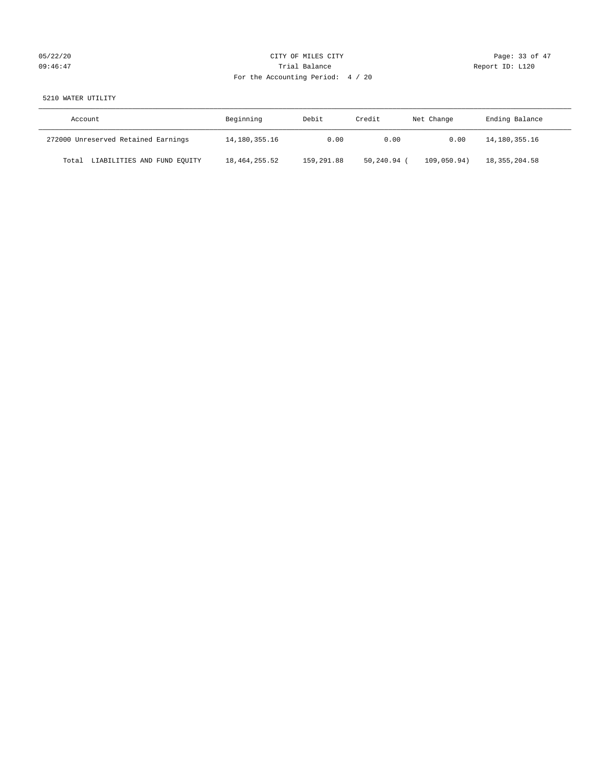# 05/22/20 Page: 33 of 47 09:46:47 <br>Trial Balance Report ID: L120 For the Accounting Period: 4 / 20

# 5210 WATER UTILITY

| Account                              | Beginning       | Debit      | Credit    | Net Change  | Ending Balance  |
|--------------------------------------|-----------------|------------|-----------|-------------|-----------------|
| 272000 Unreserved Retained Earnings  | 14,180,355.16   | 0.00       | 0.00      | 0.00        | 14,180,355.16   |
| LIABILITIES AND FUND EQUITY<br>Total | 18, 464, 255.52 | 159,291.88 | 50,240.94 | 109.050.94) | 18, 355, 204.58 |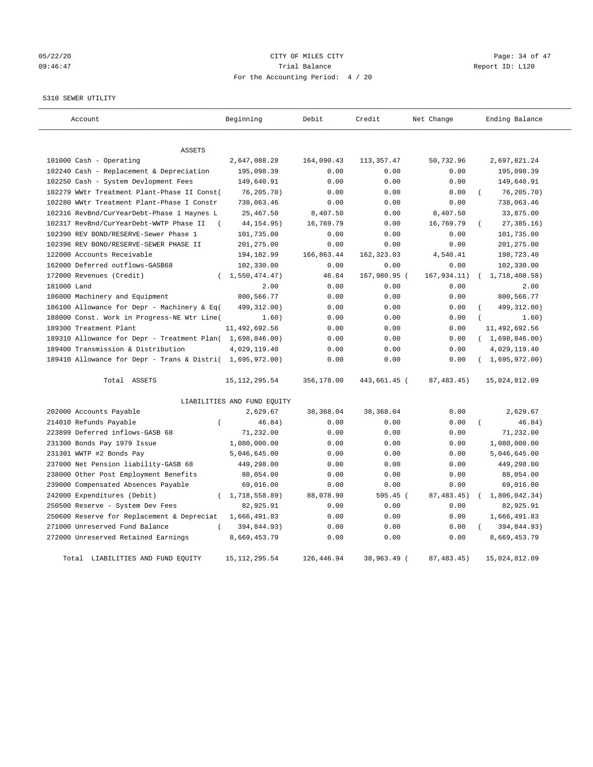# 05/22/20 **CITY OF MILES CITY CONSUMING THE CONSUMING PAGE:** 34 of 47 09:46:47 Trial Balance Report ID: L120 For the Accounting Period: 4 / 20

#### 5310 SEWER UTILITY

| Account                                                   | Beginning                   | Debit       | Credit       | Net Change   | Ending Balance |
|-----------------------------------------------------------|-----------------------------|-------------|--------------|--------------|----------------|
| ASSETS                                                    |                             |             |              |              |                |
| 101000 Cash - Operating                                   | 2,647,088.28                | 164,090.43  | 113, 357.47  | 50,732.96    | 2,697,821.24   |
| 102240 Cash - Replacement & Depreciation                  | 195,098.39                  | 0.00        | 0.00         | 0.00         | 195,098.39     |
| 102250 Cash - System Devlopment Fees                      | 149,640.91                  | 0.00        | 0.00         | 0.00         | 149,640.91     |
| 102279 WWtr Treatment Plant-Phase II Const(               | 76, 205.70)                 | 0.00        | 0.00         | 0.00         | 76, 205.70)    |
| 102280 WWtr Treatment Plant-Phase I Constr                | 738,063.46                  | 0.00        | 0.00         | 0.00         | 738,063.46     |
| 102316 RevBnd/CurYearDebt-Phase 1 Haynes L                | 25,467.50                   | 8,407.50    | 0.00         | 8,407.50     | 33,875.00      |
| 102317 RevBnd/CurYearDebt-WWTP Phase II<br>$\left($       | 44, 154.95)                 | 16,769.79   | 0.00         | 16,769.79    | 27, 385.16)    |
| 102390 REV BOND/RESERVE-Sewer Phase 1                     | 101,735.00                  | 0.00        | 0.00         | 0.00         | 101,735.00     |
| 102396 REV BOND/RESERVE-SEWER PHASE II                    | 201,275.00                  | 0.00        | 0.00         | 0.00         | 201,275.00     |
| 122000 Accounts Receivable                                | 194,182.99                  | 166,863.44  | 162, 323.03  | 4,540.41     | 198,723.40     |
| 162000 Deferred outflows-GASB68                           | 102,330.00                  | 0.00        | 0.00         | 0.00         | 102,330.00     |
| 172000 Revenues (Credit)                                  | (1, 550, 474, 47)           | 46.84       | 167,980.95 ( | 167,934.11)  | 1,718,408.58)  |
| 181000 Land                                               | 2.00                        | 0.00        | 0.00         | 0.00         | 2.00           |
| 186000 Machinery and Equipment                            | 800,566.77                  | 0.00        | 0.00         | 0.00         | 800,566.77     |
| 186100 Allowance for Depr - Machinery & Eq(               | 499,312.00)                 | 0.00        | 0.00         | 0.00         | 499, 312.00)   |
| 188000 Const. Work in Progress-NE Wtr Line(               | 1.60)                       | 0.00        | 0.00         | 0.00         | 1.60)          |
| 189300 Treatment Plant                                    | 11,492,692.56               | 0.00        | 0.00         | 0.00         | 11,492,692.56  |
| 189310 Allowance for Depr - Treatment Plan( 1,698,846.00) |                             | 0.00        | 0.00         | 0.00         | (1,698,846.00) |
| 189400 Transmission & Distribution                        | 4,029,119.40                | 0.00        | 0.00         | 0.00         | 4,029,119.40   |
| 189410 Allowance for Depr - Trans & Distri( 1,695,972.00) |                             | 0.00        | 0.00         | 0.00         | (1,695,972.00) |
| Total ASSETS                                              | 15, 112, 295.54             | 356,178.00  | 443,661.45 ( | 87, 483.45)  | 15,024,812.09  |
|                                                           | LIABILITIES AND FUND EQUITY |             |              |              |                |
| 202000 Accounts Payable                                   | 2,629.67                    | 38,368.04   | 38,368.04    | 0.00         | 2,629.67       |
| 214010 Refunds Payable<br>$\overline{(\ }$                | 46.84)                      | 0.00        | 0.00         | 0.00         | 46.84)         |
| 223899 Deferred inflows-GASB 68                           | 71,232.00                   | 0.00        | 0.00         | 0.00         | 71,232.00      |
| 231300 Bonds Pay 1979 Issue                               | 1,080,000.00                | 0.00        | 0.00         | 0.00         | 1,080,000.00   |
| 231301 WWTP #2 Bonds Pay                                  | 5,046,645.00                | 0.00        | 0.00         | 0.00         | 5,046,645.00   |
| 237000 Net Pension liability-GASB 68                      | 449,298.00                  | 0.00        | 0.00         | 0.00         | 449,298.00     |
| 238000 Other Post Employment Benefits                     | 88,054.00                   | 0.00        | 0.00         | 0.00         | 88,054.00      |
| 239000 Compensated Absences Payable                       | 69,016.00                   | 0.00        | 0.00         | 0.00         | 69,016.00      |
| 242000 Expenditures (Debit)<br>$\left($                   | 1,718,558.89)               | 88,078.90   | 595.45 (     | 87, 483. 45) | 1,806,042.34)  |
| 250500 Reserve - System Dev Fees                          | 82,925.91                   | 0.00        | 0.00         | 0.00         | 82,925.91      |
| 250600 Reserve for Replacement & Depreciat                | 1,666,491.83                | 0.00        | 0.00         | 0.00         | 1,666,491.83   |
| 271000 Unreserved Fund Balance                            | 394,844.93)                 | 0.00        | 0.00         | 0.00         | 394,844.93)    |
| 272000 Unreserved Retained Earnings                       | 8,669,453.79                | 0.00        | 0.00         | 0.00         | 8,669,453.79   |
| Total LIABILITIES AND FUND EOUITY                         | 15, 112, 295.54             | 126, 446.94 | 38,963.49 (  | 87.483.45    | 15,024,812.09  |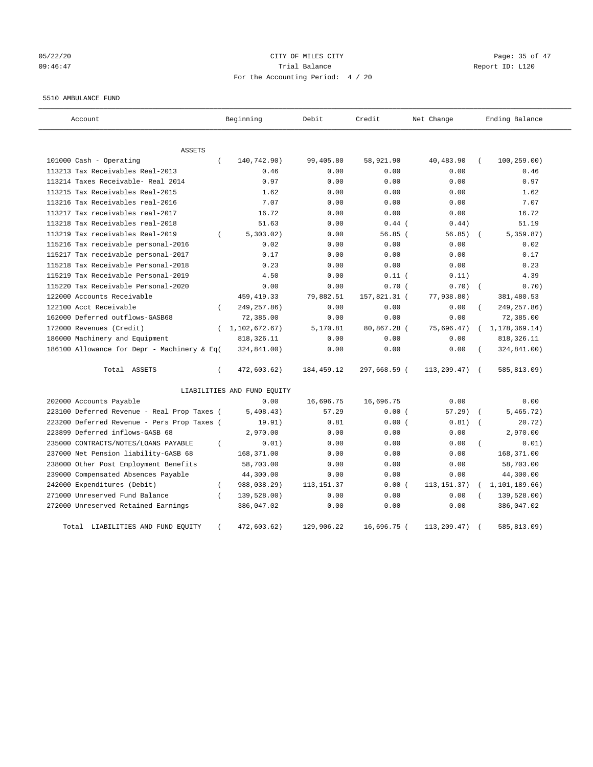# 05/22/20 Page: 35 of 47 09:46:47 Trial Balance Report ID: L120 For the Accounting Period: 4 / 20

#### 5510 AMBULANCE FUND

| Account                                     |                  | Beginning                   | Debit        | Credit       | Net Change    |            | Ending Balance |
|---------------------------------------------|------------------|-----------------------------|--------------|--------------|---------------|------------|----------------|
| ASSETS                                      |                  |                             |              |              |               |            |                |
| 101000 Cash - Operating                     | $\left($         | 140,742.90)                 | 99,405.80    | 58,921.90    | 40,483.90     |            | 100, 259.00)   |
| 113213 Tax Receivables Real-2013            |                  | 0.46                        | 0.00         | 0.00         | 0.00          |            | 0.46           |
| 113214 Taxes Receivable- Real 2014          |                  | 0.97                        | 0.00         | 0.00         | 0.00          |            | 0.97           |
| 113215 Tax Receivables Real-2015            |                  | 1.62                        | 0.00         | 0.00         | 0.00          |            | 1.62           |
| 113216 Tax Receivables real-2016            |                  | 7.07                        | 0.00         | 0.00         | 0.00          |            | 7.07           |
| 113217 Tax receivables real-2017            |                  | 16.72                       | 0.00         | 0.00         | 0.00          |            | 16.72          |
| 113218 Tax Receivables real-2018            |                  | 51.63                       | 0.00         | $0.44$ (     | 0.44)         |            | 51.19          |
| 113219 Tax receivables Real-2019            | $\left($         | 5,303.02)                   | 0.00         | 56.85(       | 56.85)        |            | 5, 359.87)     |
| 115216 Tax receivable personal-2016         |                  | 0.02                        | 0.00         | 0.00         | 0.00          |            | 0.02           |
| 115217 Tax receivable personal-2017         |                  | 0.17                        | 0.00         | 0.00         | 0.00          |            | 0.17           |
| 115218 Tax Receivable Personal-2018         |                  | 0.23                        | 0.00         | 0.00         | 0.00          |            | 0.23           |
| 115219 Tax Receivable Personal-2019         |                  | 4.50                        | 0.00         | $0.11$ (     | 0.11)         |            | 4.39           |
| 115220 Tax Receivable Personal-2020         |                  | 0.00                        | 0.00         | 0.70(        | 0.70)         |            | 0.70)          |
| 122000 Accounts Receivable                  |                  | 459, 419. 33                | 79,882.51    | 157,821.31 ( | 77,938.80)    |            | 381,480.53     |
| 122100 Acct Receivable                      | $\left($         | 249, 257.86)                | 0.00         | 0.00         | 0.00          |            | 249, 257.86)   |
| 162000 Deferred outflows-GASB68             |                  | 72,385.00                   | 0.00         | 0.00         | 0.00          |            | 72,385.00      |
| 172000 Revenues (Credit)                    |                  | (1, 102, 672.67)            | 5,170.81     | 80,867.28 (  | 75,696.47)    |            | 1,178,369.14)  |
| 186000 Machinery and Equipment              |                  | 818, 326.11                 | 0.00         | 0.00         | 0.00          |            | 818, 326.11    |
| 186100 Allowance for Depr - Machinery & Eq( |                  | 324,841.00)                 | 0.00         | 0.00         | 0.00          |            | 324,841.00)    |
| Total ASSETS                                | $\left($         | 472,603.62)                 | 184, 459. 12 | 297,668.59 ( | 113,209.47)   | $\sqrt{ }$ | 585,813.09)    |
|                                             |                  | LIABILITIES AND FUND EQUITY |              |              |               |            |                |
| 202000 Accounts Payable                     |                  | 0.00                        | 16,696.75    | 16,696.75    | 0.00          |            | 0.00           |
| 223100 Deferred Revenue - Real Prop Taxes ( |                  | 5,408.43)                   | 57.29        | 0.00(        | 57.29)        |            | 5,465.72)      |
| 223200 Deferred Revenue - Pers Prop Taxes ( |                  | 19.91)                      | 0.81         | 0.00(        | 0.81)         |            | 20.72)         |
| 223899 Deferred inflows-GASB 68             |                  | 2,970.00                    | 0.00         | 0.00         | 0.00          |            | 2,970.00       |
| 235000 CONTRACTS/NOTES/LOANS PAYABLE        | $\left($         | 0.01)                       | 0.00         | 0.00         | 0.00          |            | 0.01)          |
| 237000 Net Pension liability-GASB 68        |                  | 168,371.00                  | 0.00         | 0.00         | 0.00          |            | 168,371.00     |
| 238000 Other Post Employment Benefits       |                  | 58,703.00                   | 0.00         | 0.00         | 0.00          |            | 58,703.00      |
| 239000 Compensated Absences Payable         |                  | 44,300.00                   | 0.00         | 0.00         | 0.00          |            | 44,300.00      |
| 242000 Expenditures (Debit)                 | $\left($         | 988,038.29)                 | 113, 151.37  | 0.00(        | 113, 151. 37) |            | 1,101,189.66)  |
| 271000 Unreserved Fund Balance              | $\overline{(\ }$ | 139,528.00)                 | 0.00         | 0.00         | 0.00          |            | 139,528.00)    |
| 272000 Unreserved Retained Earnings         |                  | 386,047.02                  | 0.00         | 0.00         | 0.00          |            | 386,047.02     |
| LIABILITIES AND FUND EQUITY<br>Total        |                  | 472,603.62)                 | 129,906.22   | 16,696.75 (  | 113,209.47)   |            | 585,813.09)    |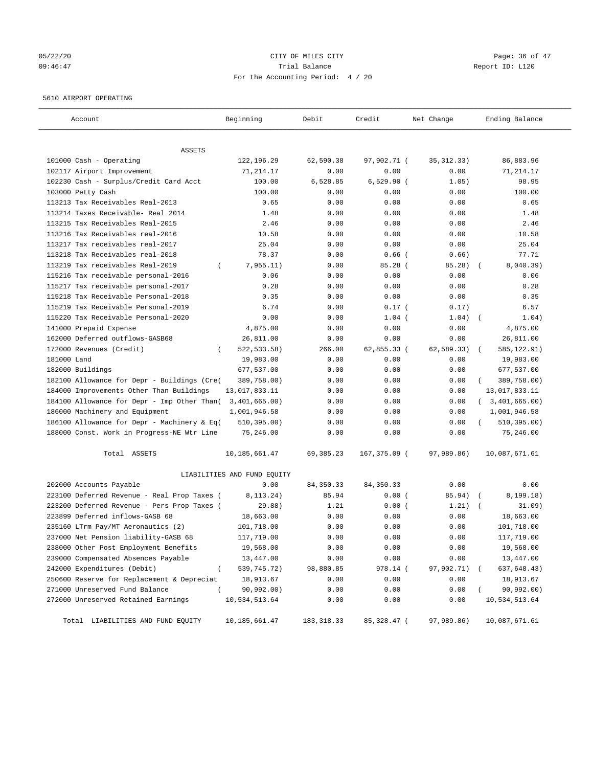# 05/22/20 **CITY OF MILES CITY CONSUMING THE CONSUMING PAGE:** 36 of 47 09:46:47 Trial Balance Report ID: L120 For the Accounting Period: 4 / 20

#### 5610 AIRPORT OPERATING

| Account                                     | Beginning                       | Debit       | Credit       | Net Change   | Ending Balance            |
|---------------------------------------------|---------------------------------|-------------|--------------|--------------|---------------------------|
| ASSETS                                      |                                 |             |              |              |                           |
| 101000 Cash - Operating                     | 122,196.29                      | 62,590.38   | 97,902.71 (  | 35, 312. 33) | 86,883.96                 |
| 102117 Airport Improvement                  | 71,214.17                       | 0.00        | 0.00         | 0.00         | 71,214.17                 |
| 102230 Cash - Surplus/Credit Card Acct      | 100.00                          | 6,528.85    | $6,529.90$ ( | 1.05)        | 98.95                     |
| 103000 Petty Cash                           | 100.00                          | 0.00        | 0.00         | 0.00         | 100.00                    |
| 113213 Tax Receivables Real-2013            | 0.65                            | 0.00        | 0.00         | 0.00         | 0.65                      |
| 113214 Taxes Receivable- Real 2014          | 1.48                            | 0.00        | 0.00         | 0.00         | 1.48                      |
| 113215 Tax Receivables Real-2015            | 2.46                            | 0.00        | 0.00         | 0.00         | 2.46                      |
| 113216 Tax Receivables real-2016            | 10.58                           | 0.00        | 0.00         | 0.00         | 10.58                     |
| 113217 Tax receivables real-2017            | 25.04                           | 0.00        | 0.00         | 0.00         | 25.04                     |
| 113218 Tax Receivables real-2018            | 78.37                           | 0.00        | $0.66$ (     | 0.66)        | 77.71                     |
| 113219 Tax receivables Real-2019            | 7,955.11)<br>$\left($           | 0.00        | 85.28 (      | 85.28)       | 8,040.39)                 |
| 115216 Tax receivable personal-2016         | 0.06                            | 0.00        | 0.00         | 0.00         | 0.06                      |
| 115217 Tax receivable personal-2017         | 0.28                            | 0.00        | 0.00         | 0.00         | 0.28                      |
| 115218 Tax Receivable Personal-2018         | 0.35                            | 0.00        | 0.00         | 0.00         | 0.35                      |
| 115219 Tax Receivable Personal-2019         | 6.74                            | 0.00        | $0.17$ (     | 0.17)        | 6.57                      |
| 115220 Tax Receivable Personal-2020         | 0.00                            | 0.00        | $1.04$ (     | 1.04)        | 1.04)                     |
| 141000 Prepaid Expense                      | 4,875.00                        | 0.00        | 0.00         | 0.00         | 4,875.00                  |
| 162000 Deferred outflows-GASB68             | 26,811.00                       | 0.00        | 0.00         | 0.00         | 26,811.00                 |
| 172000 Revenues (Credit)                    | 522, 533. 58)                   | 266.00      | 62,855.33 (  | 62,589.33)   | 585, 122.91)              |
| 181000 Land                                 | 19,983.00                       | 0.00        | 0.00         | 0.00         | 19,983.00                 |
| 182000 Buildings                            | 677,537.00                      | 0.00        | 0.00         | 0.00         | 677,537.00                |
| 182100 Allowance for Depr - Buildings (Cre( | 389,758.00)                     | 0.00        | 0.00         | 0.00         | 389,758.00)               |
| 184000 Improvements Other Than Buildings    | 13,017,833.11                   | 0.00        | 0.00         | 0.00         | 13,017,833.11             |
| 184100 Allowance for Depr - Imp Other Than( | 3,401,665.00)                   | 0.00        | 0.00         | 0.00         | 3,401,665.00)<br>$\left($ |
| 186000 Machinery and Equipment              | 1,001,946.58                    | 0.00        | 0.00         | 0.00         | 1,001,946.58              |
| 186100 Allowance for Depr - Machinery & Eq( | 510, 395.00)                    | 0.00        | 0.00         | 0.00         | 510, 395.00)<br>$\left($  |
| 188000 Const. Work in Progress-NE Wtr Line  | 75,246.00                       | 0.00        | 0.00         | 0.00         | 75,246.00                 |
| Total ASSETS                                | 10,185,661.47                   | 69, 385. 23 | 167,375.09 ( | 97,989.86)   | 10,087,671.61             |
|                                             | LIABILITIES AND FUND EQUITY     |             |              |              |                           |
| 202000 Accounts Payable                     | 0.00                            | 84, 350. 33 | 84, 350. 33  | 0.00         | 0.00                      |
| 223100 Deferred Revenue - Real Prop Taxes ( | 8,113.24)                       | 85.94       | 0.00(        | 85.94)       | 8, 199.18)                |
| 223200 Deferred Revenue - Pers Prop Taxes ( | 29.88)                          | 1.21        | 0.00(        | 1.21)        | 31.09)                    |
| 223899 Deferred inflows-GASB 68             | 18,663.00                       | 0.00        | 0.00         | 0.00         | 18,663.00                 |
| 235160 LTrm Pay/MT Aeronautics (2)          | 101,718.00                      | 0.00        | 0.00         | 0.00         | 101,718.00                |
| 237000 Net Pension liability-GASB 68        | 117,719.00                      | 0.00        | 0.00         | 0.00         | 117,719.00                |
| 238000 Other Post Employment Benefits       | 19,568.00                       | 0.00        | 0.00         | 0.00         | 19,568.00                 |
| 239000 Compensated Absences Payable         | 13,447.00                       | 0.00        | 0.00         | 0.00         | 13,447.00                 |
| 242000 Expenditures (Debit)                 | $\overline{(\ }$<br>539,745.72) | 98,880.85   | 978.14 (     | 97,902.71)   | 637,648.43)               |
| 250600 Reserve for Replacement & Depreciat  | 18,913.67                       | 0.00        | 0.00         | 0.00         | 18,913.67                 |
| 271000 Unreserved Fund Balance              | 90,992.00)<br>$\left($          | 0.00        | 0.00         | 0.00         | 90,992.00)                |
| 272000 Unreserved Retained Earnings         | 10,534,513.64                   | 0.00        | 0.00         | 0.00         | 10,534,513.64             |
| Total LIABILITIES AND FUND EQUITY           | 10, 185, 661.47                 | 183, 318.33 | 85,328.47 (  | 97,989.86)   | 10,087,671.61             |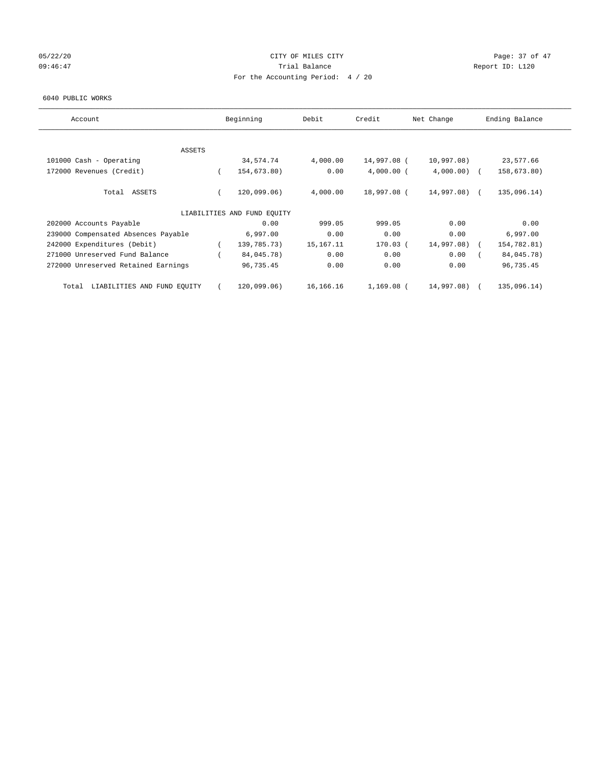# 05/22/20 Page: 37 of 47 09:46:47 Trial Balance Trial Balance Report ID: L120 For the Accounting Period: 4 / 20

#### 6040 PUBLIC WORKS

| Account                              | Beginning                   | Debit     | Credit       | Net Change    | Ending Balance |
|--------------------------------------|-----------------------------|-----------|--------------|---------------|----------------|
| <b>ASSETS</b>                        |                             |           |              |               |                |
| 101000 Cash - Operating              | 34,574.74                   | 4,000.00  | 14,997.08 (  | 10,997.08)    | 23,577.66      |
| 172000 Revenues (Credit)             | 154,673.80)                 | 0.00      | $4,000.00$ ( | $4,000.00)$ ( | 158,673.80)    |
| Total ASSETS                         | 120,099.06)                 | 4,000.00  | 18,997.08 (  | 14,997.08) (  | 135,096.14)    |
|                                      | LIABILITIES AND FUND EQUITY |           |              |               |                |
| 202000 Accounts Payable              | 0.00                        | 999.05    | 999.05       | 0.00          | 0.00           |
| 239000 Compensated Absences Payable  | 6,997.00                    | 0.00      | 0.00         | 0.00          | 6,997.00       |
| 242000 Expenditures (Debit)          | 139,785.73)                 | 15,167.11 | $170.03$ (   | 14,997.08)    | 154,782.81)    |
| 271000 Unreserved Fund Balance       | 84,045.78)                  | 0.00      | 0.00         | 0.00          | 84,045.78)     |
| 272000 Unreserved Retained Earnings  | 96,735.45                   | 0.00      | 0.00         | 0.00          | 96,735.45      |
| LIABILITIES AND FUND EQUITY<br>Total | 120,099.06)                 | 16,166.16 | 1,169.08 (   | 14,997.08)    | 135,096.14)    |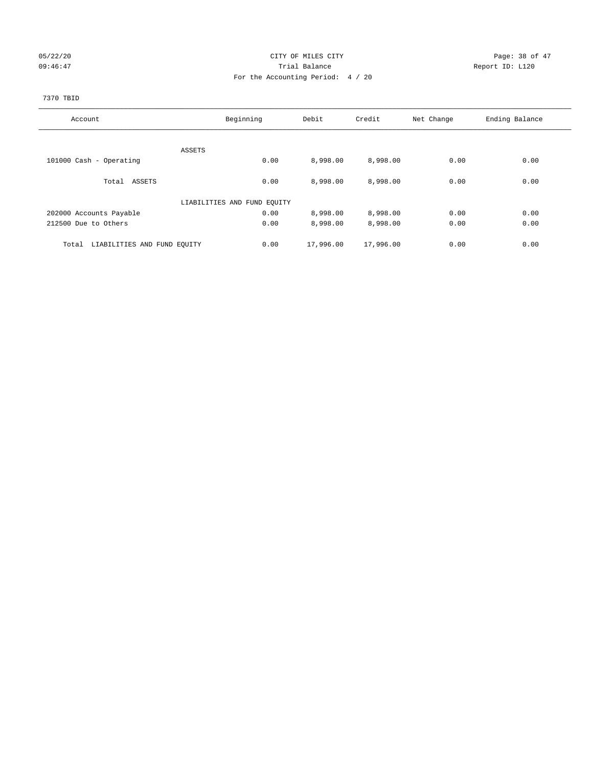## 05/22/20 **CITY OF MILES CITY CONSUMING THE CONSUMING PAGE:** 38 of 47 09:46:47 <br>Trial Balance Report ID: L120 For the Accounting Period: 4 / 20

# 7370 TBID

| Account                              | Beginning                   | Debit     | Credit    | Net Change | Ending Balance |
|--------------------------------------|-----------------------------|-----------|-----------|------------|----------------|
|                                      |                             |           |           |            |                |
|                                      | ASSETS                      |           |           |            |                |
| 101000 Cash - Operating              | 0.00                        | 8,998.00  | 8,998.00  | 0.00       | 0.00           |
|                                      |                             |           |           |            |                |
| Total ASSETS                         | 0.00                        | 8,998.00  | 8,998.00  | 0.00       | 0.00           |
|                                      | LIABILITIES AND FUND EQUITY |           |           |            |                |
| 202000 Accounts Payable              | 0.00                        | 8,998.00  | 8,998.00  | 0.00       | 0.00           |
|                                      |                             |           |           |            |                |
| 212500 Due to Others                 | 0.00                        | 8,998.00  | 8,998.00  | 0.00       | 0.00           |
| LIABILITIES AND FUND EQUITY<br>Total | 0.00                        | 17,996.00 | 17,996.00 | 0.00       | 0.00           |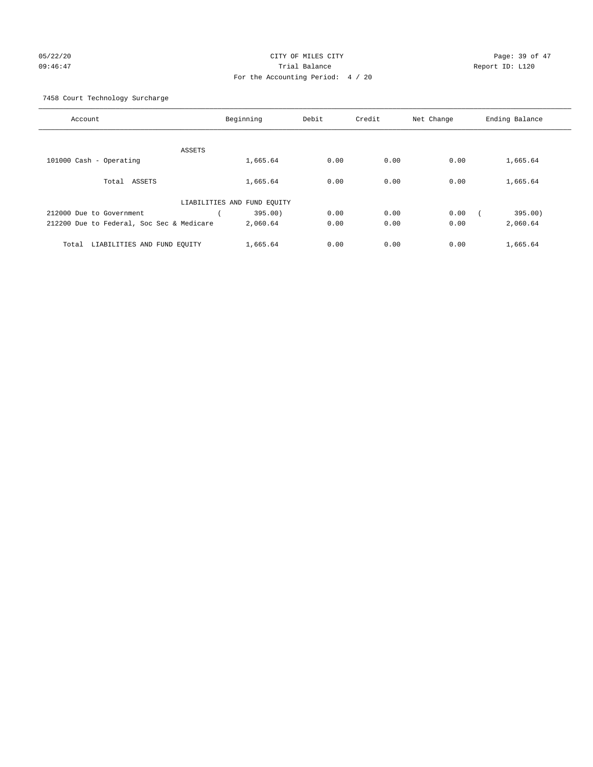# 05/22/20 **CITY OF MILES CITY CONSUMING THE CONSUMING PAGE:** 39 of 47 09:46:47 Trial Balance Report ID: L120 For the Accounting Period: 4 / 20

7458 Court Technology Surcharge

| Account                                   |                             | Beginning | Debit | Credit | Net Change | Ending Balance |
|-------------------------------------------|-----------------------------|-----------|-------|--------|------------|----------------|
|                                           |                             |           |       |        |            |                |
|                                           | ASSETS                      |           |       |        |            |                |
| 101000 Cash - Operating                   |                             | 1,665.64  | 0.00  | 0.00   | 0.00       | 1,665.64       |
| ASSETS<br>Total                           |                             | 1,665.64  | 0.00  | 0.00   | 0.00       | 1,665.64       |
|                                           | LIABILITIES AND FUND EQUITY |           |       |        |            |                |
| 212000 Due to Government                  |                             | 395.00)   | 0.00  | 0.00   | 0.00       | 395.00)        |
| 212200 Due to Federal, Soc Sec & Medicare |                             | 2,060.64  | 0.00  | 0.00   | 0.00       | 2,060.64       |
| LIABILITIES AND FUND EQUITY<br>Total      |                             | 1,665.64  | 0.00  | 0.00   | 0.00       | 1,665.64       |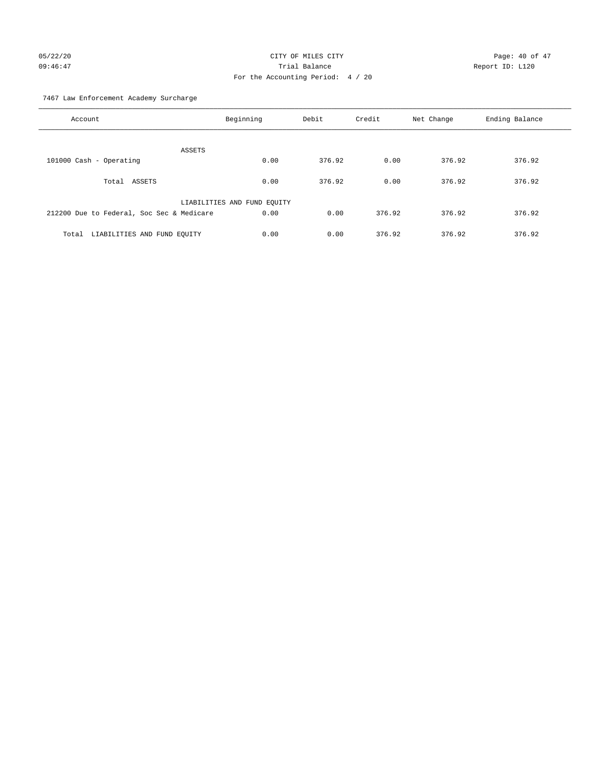# 05/22/20 **CITY OF MILES CITY CONSUMING THE PAGE:** 40 of 47 09:46:47 Trial Balance Report ID: L120 For the Accounting Period: 4 / 20

7467 Law Enforcement Academy Surcharge

| Account                                   | Beginning                   | Debit  | Credit | Net Change | Ending Balance |
|-------------------------------------------|-----------------------------|--------|--------|------------|----------------|
| <b>ASSETS</b>                             |                             |        |        |            |                |
| 101000 Cash - Operating                   | 0.00                        | 376.92 | 0.00   | 376.92     | 376.92         |
|                                           |                             |        |        |            |                |
| ASSETS<br>Total                           | 0.00                        | 376.92 | 0.00   | 376.92     | 376.92         |
|                                           | LIABILITIES AND FUND EQUITY |        |        |            |                |
| 212200 Due to Federal, Soc Sec & Medicare | 0.00                        | 0.00   | 376.92 | 376.92     | 376.92         |
|                                           |                             |        |        |            |                |
| LIABILITIES AND FUND EQUITY<br>Total      | 0.00                        | 0.00   | 376.92 | 376.92     | 376.92         |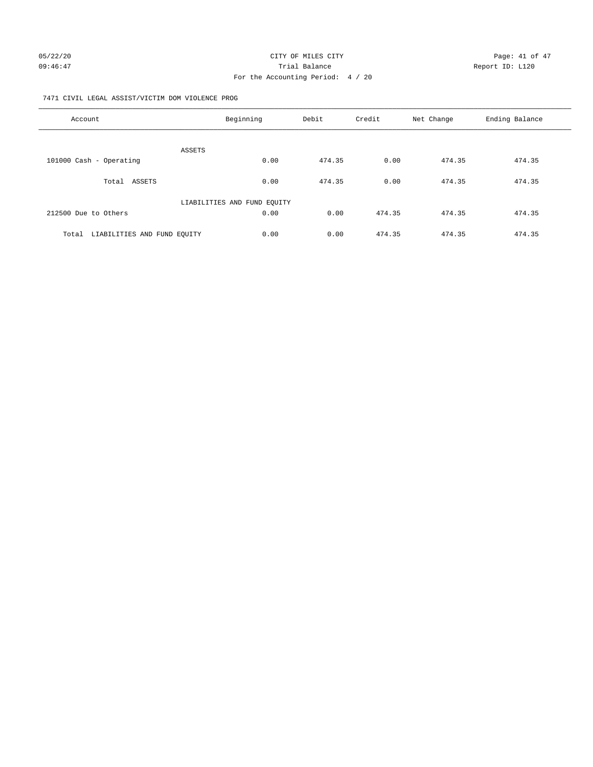#### 7471 CIVIL LEGAL ASSIST/VICTIM DOM VIOLENCE PROG

| Account                              | Beginning                   | Debit  | Credit | Net Change | Ending Balance |
|--------------------------------------|-----------------------------|--------|--------|------------|----------------|
| ASSETS                               |                             |        |        |            |                |
| 101000 Cash - Operating              | 0.00                        | 474.35 | 0.00   | 474.35     | 474.35         |
| Total ASSETS                         | 0.00                        | 474.35 | 0.00   | 474.35     | 474.35         |
|                                      | LIABILITIES AND FUND EQUITY |        |        |            |                |
| 212500 Due to Others                 | 0.00                        | 0.00   | 474.35 | 474.35     | 474.35         |
| LIABILITIES AND FUND EQUITY<br>Total | 0.00                        | 0.00   | 474.35 | 474.35     | 474.35         |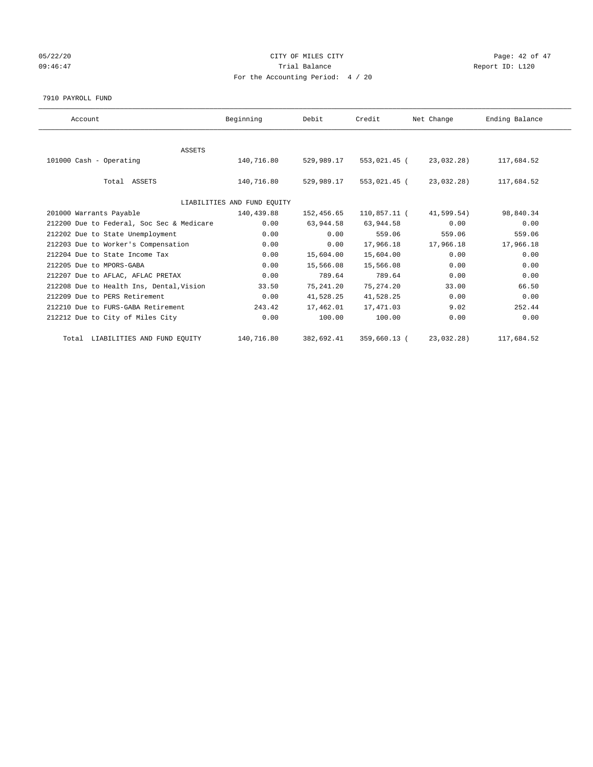## 05/22/20 **CITY OF MILES CITY CONSUMING THE CONSUMING PAGE:** 42 of 47 09:46:47 <br>Trial Balance Report ID: L120 For the Accounting Period: 4 / 20

#### 7910 PAYROLL FUND

| Account                                   | Beginning                   | Debit      | Credit       | Net Change | Ending Balance |  |
|-------------------------------------------|-----------------------------|------------|--------------|------------|----------------|--|
|                                           |                             |            |              |            |                |  |
| <b>ASSETS</b>                             |                             |            |              |            |                |  |
| 101000 Cash - Operating                   | 140,716.80                  | 529,989.17 | 553,021.45 ( | 23,032.28) | 117,684.52     |  |
| Total ASSETS                              | 140,716.80                  | 529,989.17 | 553,021.45 ( | 23,032.28) | 117,684.52     |  |
|                                           | LIABILITIES AND FUND EQUITY |            |              |            |                |  |
| 201000 Warrants Payable                   | 140,439.88                  | 152,456.65 | 110,857.11 ( | 41,599.54) | 98,840.34      |  |
| 212200 Due to Federal, Soc Sec & Medicare | 0.00                        | 63,944.58  | 63,944.58    | 0.00       | 0.00           |  |
| 212202 Due to State Unemployment          | 0.00                        | 0.00       | 559.06       | 559.06     | 559.06         |  |
| 212203 Due to Worker's Compensation       | 0.00                        | 0.00       | 17,966.18    | 17,966.18  | 17,966.18      |  |
| 212204 Due to State Income Tax            | 0.00                        | 15,604.00  | 15,604.00    | 0.00       | 0.00           |  |
| 212205 Due to MPORS-GABA                  | 0.00                        | 15,566.08  | 15,566.08    | 0.00       | 0.00           |  |
| 212207 Due to AFLAC, AFLAC PRETAX         | 0.00                        | 789.64     | 789.64       | 0.00       | 0.00           |  |
| 212208 Due to Health Ins, Dental, Vision  | 33.50                       | 75,241.20  | 75, 274.20   | 33.00      | 66.50          |  |
| 212209 Due to PERS Retirement             | 0.00                        | 41,528.25  | 41,528.25    | 0.00       | 0.00           |  |
| 212210 Due to FURS-GABA Retirement        | 243.42                      | 17,462.01  | 17,471.03    | 9.02       | 252.44         |  |
| 212212 Due to City of Miles City          | 0.00                        | 100.00     | 100.00       | 0.00       | 0.00           |  |
| Total LIABILITIES AND FUND EQUITY         | 140,716.80                  | 382,692.41 | 359,660.13 ( | 23,032.28) | 117,684.52     |  |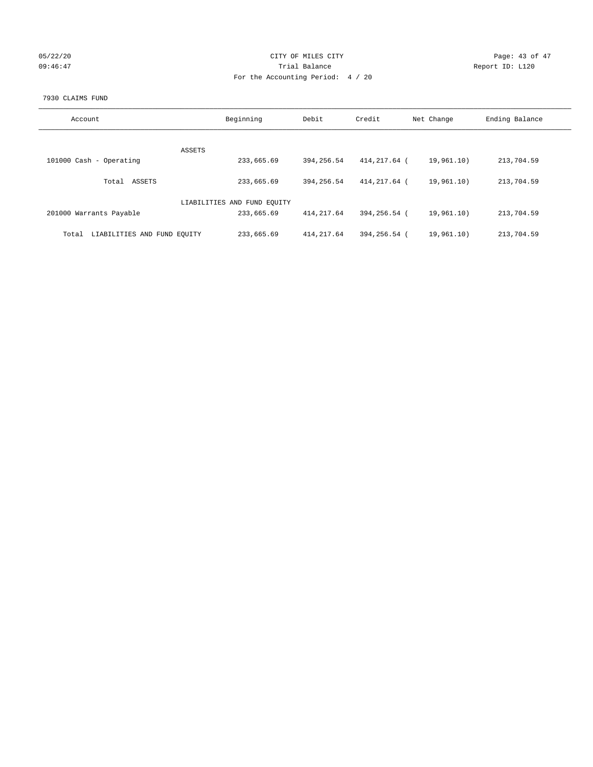| 05/22/20 |  |
|----------|--|
| 09:46:47 |  |

## CITY OF MILES CITY CONTROL CONTROL CONTROL CITY 09:46:47 Trial Balance Report ID: L120 For the Accounting Period: 4 / 20

#### 7930 CLAIMS FUND

| Account                              | Beginning                   | Debit       | Credit       | Net Change | Ending Balance |
|--------------------------------------|-----------------------------|-------------|--------------|------------|----------------|
|                                      |                             |             |              |            |                |
|                                      | ASSETS                      |             |              |            |                |
| 101000 Cash - Operating              | 233,665.69                  | 394, 256.54 | 414,217.64 ( | 19,961.10) | 213,704.59     |
| ASSETS<br>Total                      | 233,665.69                  | 394, 256.54 | 414,217.64 ( | 19,961.10) | 213,704.59     |
|                                      | LIABILITIES AND FUND EQUITY |             |              |            |                |
| 201000 Warrants Payable              | 233,665.69                  | 414, 217.64 | 394,256.54 ( | 19,961.10) | 213,704.59     |
| LIABILITIES AND FUND EQUITY<br>Total | 233,665.69                  | 414, 217.64 | 394,256.54 ( | 19,961.10) | 213,704.59     |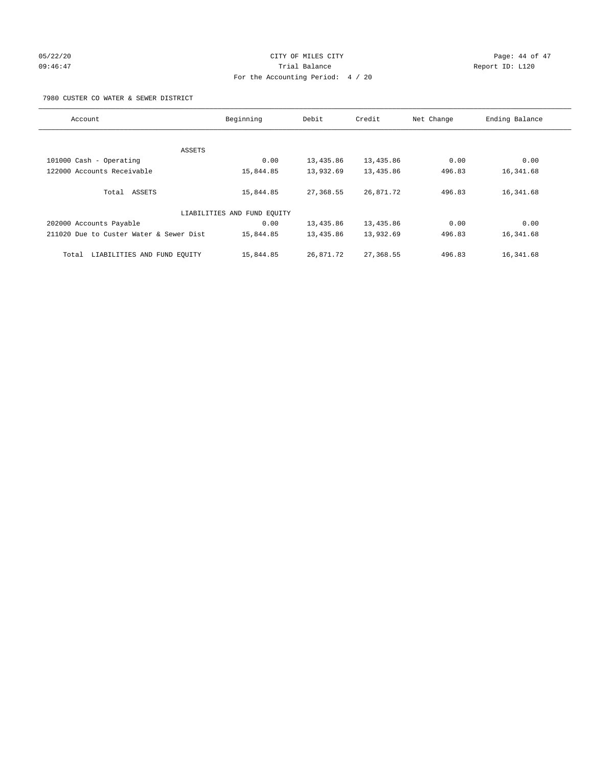# 05/22/20 **CITY OF MILES CITY CONSUMING THE PAGE OF 47** 09:46:47 Trial Balance Report ID: L120 For the Accounting Period: 4 / 20

7980 CUSTER CO WATER & SEWER DISTRICT

| Account                                 | Beginning                   | Debit     | Credit    | Net Change | Ending Balance |
|-----------------------------------------|-----------------------------|-----------|-----------|------------|----------------|
|                                         |                             |           |           |            |                |
| ASSETS                                  |                             |           |           |            |                |
| 101000 Cash - Operating                 | 0.00                        | 13,435.86 | 13,435.86 | 0.00       | 0.00           |
| 122000 Accounts Receivable              | 15,844.85                   | 13,932.69 | 13,435.86 | 496.83     | 16,341.68      |
| Total ASSETS                            | 15,844.85                   | 27,368.55 | 26,871.72 | 496.83     | 16,341.68      |
|                                         | LIABILITIES AND FUND EQUITY |           |           |            |                |
| 202000 Accounts Payable                 | 0.00                        | 13,435.86 | 13,435.86 | 0.00       | 0.00           |
| 211020 Due to Custer Water & Sewer Dist | 15,844.85                   | 13,435.86 | 13,932.69 | 496.83     | 16,341.68      |
| LIABILITIES AND FUND EQUITY<br>Total    | 15,844.85                   | 26,871.72 | 27,368.55 | 496.83     | 16,341.68      |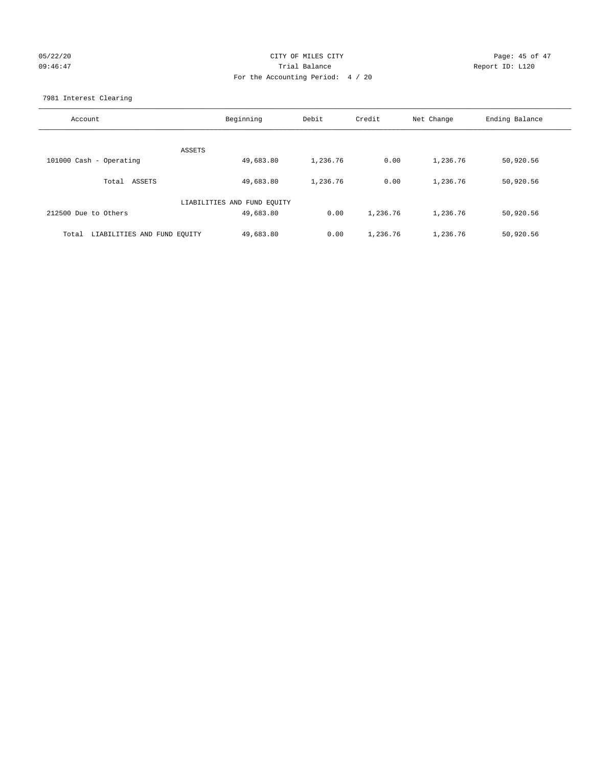## 05/22/20 **CITY OF MILES CITY CONSUMING THE CONSUMING PAGE: 45 of 47** 09:46:47 Trial Balance Report ID: L120 For the Accounting Period: 4 / 20

7981 Interest Clearing

| Account                           | Beginning                   | Debit    | Credit   | Net Change | Ending Balance |
|-----------------------------------|-----------------------------|----------|----------|------------|----------------|
|                                   | ASSETS                      |          |          |            |                |
| 101000 Cash - Operating           | 49,683.80                   | 1,236.76 | 0.00     | 1,236.76   | 50,920.56      |
| Total ASSETS                      | 49,683.80                   | 1,236.76 | 0.00     | 1,236.76   | 50,920.56      |
|                                   | LIABILITIES AND FUND EQUITY |          |          |            |                |
| 212500 Due to Others              | 49,683.80                   | 0.00     | 1,236.76 | 1,236.76   | 50,920.56      |
| Total LIABILITIES AND FUND EOUITY | 49,683.80                   | 0.00     | 1,236.76 | 1,236.76   | 50,920.56      |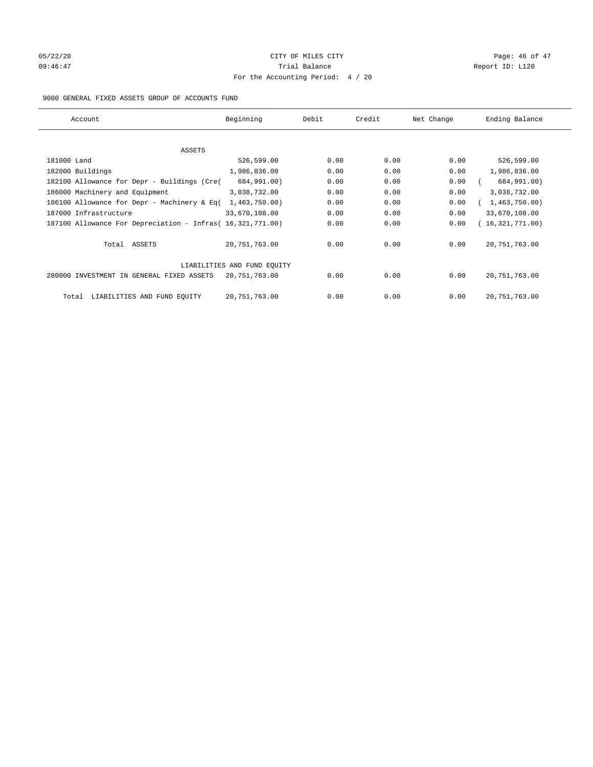# 05/22/20 **CITY OF MILES CITY CONSUMING THE CONSUMING PAGE:** 46 of 47 09:46:47 <br>Trial Balance Report ID: L120 For the Accounting Period: 4 / 20

#### 9000 GENERAL FIXED ASSETS GROUP OF ACCOUNTS FUND

| Account                                                    | Beginning                   | Debit | Credit | Net Change | Ending Balance  |
|------------------------------------------------------------|-----------------------------|-------|--------|------------|-----------------|
| ASSETS                                                     |                             |       |        |            |                 |
| 181000 Land                                                | 526,599.00                  | 0.00  | 0.00   | 0.00       | 526,599.00      |
| 182000 Buildings                                           | 1,986,836.00                | 0.00  | 0.00   | 0.00       | 1,986,836.00    |
| 182100 Allowance for Depr - Buildings (Cre(                | 684,991.00)                 | 0.00  | 0.00   | 0.00       | 684,991.00)     |
| 186000 Machinery and Equipment                             | 3,038,732.00                | 0.00  | 0.00   | 0.00       | 3,038,732.00    |
| 186100 Allowance for Depr - Machinery & Eq(                | 1,463,750.00)               | 0.00  | 0.00   | 0.00       | 1,463,750.00)   |
| 187000 Infrastructure                                      | 33,670,108.00               | 0.00  | 0.00   | 0.00       | 33,670,108.00   |
| 187100 Allowance For Depreciation - Infras( 16,321,771.00) |                             | 0.00  | 0.00   | 0.00       | 16,321,771.00)  |
| Total ASSETS                                               | 20,751,763.00               | 0.00  | 0.00   | 0.00       | 20, 751, 763.00 |
|                                                            | LIABILITIES AND FUND EQUITY |       |        |            |                 |
| 280000 INVESTMENT IN GENERAL FIXED ASSETS                  | 20,751,763.00               | 0.00  | 0.00   | 0.00       | 20, 751, 763.00 |
| LIABILITIES AND FUND EQUITY<br>Total                       | 20, 751, 763.00             | 0.00  | 0.00   | 0.00       | 20, 751, 763.00 |